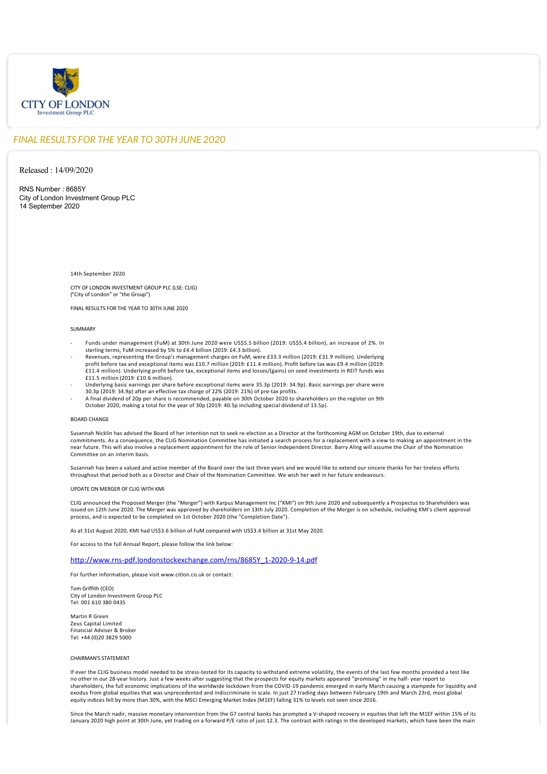

## *FINAL RESULTS FOR THE YEAR TO 30TH JUNE 2020*

Released : 14/09/2020

RNS Number : 8685Y City of London Investment Group PLC 14 September 2020

### 14th September 2020

CITY OF LONDON INVESTMENT GROUP PLC (LSE: CLIG) ("City of London" or "the Group")

FINAL RESULTS FOR THE YEAR TO 30TH JUNE 2020

### **SUMMARY**

- ‐ Funds under management (FuM) at 30th June 2020 were US\$5.5 billion (2019: US\$5.4 billion), an increase of 2%. In sterling terms, FuM increased by 5% to £4.4 billion (2019: £4.3 billion).
- Revenues, representing the Group's management charges on FuM, were £33.3 million (2019: £31.9 million). Underlying<br>: profit before tax and exceptional items was £10.7 million (2019: £11.4 million). Profit before tax was £9 £11.4 million). Underlying profit before tax, exceptional items and losses/(gains) on seed investments in REIT funds was £11.5 million (2019: £10.6 million).
- ‐ Underlying basic earnings per share before exceptional items were 35.3p (2019: 34.9p). Basic earnings per share were 30.3p (2019: 34.9p) after an effective tax charge of 22% (2019: 21%) of pre‐tax profits.
- ‐ A final dividend of 20p per share is recommended, payable on 30th October 2020 to shareholders on the register on 9th October 2020, making a total for the year of 30p (2019: 40.5p including special dividend of 13.5p).

### BOARD CHANGE

Susannah Nicklin has advised the Board of her intention not to seek re‐election as a Director at the forthcoming AGM on October 19th, due to external commitments. As a consequence, the CLIG Nomination Committee has initiated a search process for a replacement with a view to making an appointment in the near future. This will also involve a replacement appointment for the role of Senior Independent Director. Barry Aling will assume the Chair of the Nomination Committee on an interim basis.

Susannah has been a valued and active member of the Board over the last three years and we would like to extend our sincere thanks for her tireless efforts throughout that period both as a Director and Chair of the Nomination Committee. We wish her well in her future endeavours.

### UPDATE ON MERGER OF CLIG WITH KMI

CLIG announced the Proposed Merger (the "Merger") with Karpus Management Inc ("KMI") on 9th June 2020 and subsequently a Prospectus to Shareholders was issued on 12th June 2020. The Merger was approved by shareholders on 13th July 2020. Completion of the Merger is on schedule, including KMI's client approval process, and is expected to be completed on 1st October 2020 (the "Completion Date").

As at 31st August 2020, KMI had US\$3.6 billion of FuM compared with US\$3.4 billion at 31st May 2020.

For access to the full Annual Report, please follow the link below:

### [http://www.rns‐pdf.londonstockexchange.com/rns/8685Y\\_1‐2020‐9‐14.pdf](http://www.rns-pdf.londonstockexchange.com/rns/8685Y_1-2020-9-14.pdf)

For further information, please visit www.citlon.co.uk or contact:

Tom Griffith (CEO) City of London Investment Group PLC Tel: 001 610 380 0435

Martin R Green Zeus Capital Limited Financial Adviser & Broker Tel: +44 (0)20 3829 5000

### CHAIRMAN'S STATEMENT

If ever the CLIG business model needed to be stress‐tested for its capacity to withstand extreme volatility, the events of the last few months provided a test like no other in our 28‐year history. Just a few weeks after suggesting that the prospects for equity markets appeared "promising" in my half‐ year report to shareholders, the full economic implications of the worldwide lockdown from the COVID‐19 pandemic emerged in early March causing a stampede for liquidity and exodus from global equities that was unprecedented and indiscriminate in scale. In just 27 trading days between February 19th and March 23rd, most global<br>equity indices fell by more than 30%, with the MSCI Emerging Market

Since the March nadir, massive monetary intervention from the G7 central banks has prompted a V-shaped recovery in equities that left the M1EF within 15% of its January 2020 high point at 30th June, yet trading on a forward P/E ratio of just 12.3. The contrast with ratings in the developed markets, which have been the main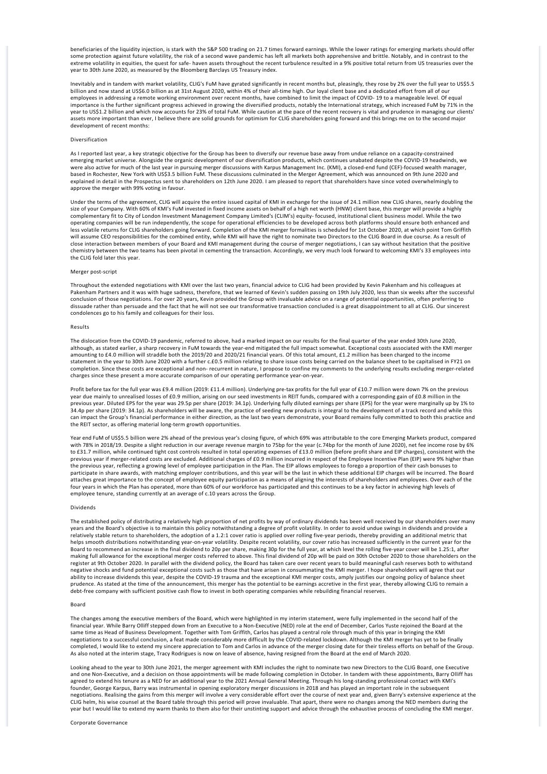beneficiaries of the liquidity injection, is stark with the S&P 500 trading on 21.7 times forward earnings. While the lower ratings for emerging markets should offer some protection against future volatility, the risk of a second wave pandemic has left all markets both apprehensive and brittle. Notably, and in contrast to the extreme volatility in equities, the quest for safe‐ haven assets throughout the recent turbulence resulted in a 9% positive total return from US treasuries over the year to 30th June 2020, as measured by the Bloomberg Barclays US Treasury index.

Inevitably and in tandem with market volatility, CLIG's FuM have gyrated significantly in recent months but, pleasingly, they rose by 2% over the full year to US\$5.5<br>billion and now stand at US\$6.0 billion as at 31st Augus employees in addressing a remote working environment over recent months, have combined to limit the impact of COVID‐ 19 to a manageable level. Of equal importance is the further significant progress achieved in growing the diversified products, notably the International strategy, which increased FuM by 71% in the<br>year to US\$1.2 billion and which now accounts for 23% of to assets more important than ever, I believe there are solid grounds for optimism for CLIG shareholders going forward and this brings me on to the second major development of recent months:

### Diversification

As I reported last year, a key strategic objective for the Group has been to diversify our revenue base away from undue reliance on a capacity‐constrained emerging market universe. Alongside the organic development of our diversification products, which continues unabated despite the COVID‐19 headwinds, we were also active for much of the last year in pursuing merger discussions with Karpus Management Inc. (KMI), a closed‐end fund (CEF)‐focused wealth manager, based in Rochester, New York with US\$3.5 billion FuM. These discussions culminated in the Merger Agreement, which was announced on 9th June 2020 and explained in detail in the Prospectus sent to shareholders on 12th June 2020. I am pleased to report that shareholders have since voted overwhelmingly to approve the merger with 99% voting in favour.

Under the terms of the agreement, CLIG will acquire the entire issued capital of KMI in exchange for the issue of 24.1 million new CLIG shares, nearly doubling the size of your Company. With 60% of KMI's FuM invested in fixed income assets on behalf of a high net worth (HNW) client base, this merger will provide a highly complementary fit to City of London Investment Management Company Limited's (CLIM's) equity‐ focused, institutional client business model. While the two operating companies will be run independently, the scope for operational efficiencies to be developed across both platforms should ensure both enhanced and less volatile returns for CLIG shareholders going forward. Completion of the KMI merger formalities is scheduled for 1st October 2020, at which point Tom Griffith will assume CEO responsibilities for the combined entity, while KMI will have the right to nominate two Directors to the CLIG Board in due course. As a result of close interaction between members of your Board and KMI management during the course of merger negotiations, I can say without hesitation that the positive<br>chemistry between the two teams has been pivotal in cementing the the CLIG fold later this year.

#### Merger post‐script

Throughout the extended negotiations with KMI over the last two years, financial advice to CLIG had been provided by Kevin Pakenham and his colleagues at<br>Pakenham Partners and it was with huge sadness, therefore, that we l conclusion of those negotiations. For over 20 years, Kevin provided the Group with invaluable advice on a range of potential opportunities, often preferring to dissuade rather than persuade and the fact that he will not see our transformative transaction concluded is a great disappointment to all at CLIG. Our sincerest condolences go to his family and colleagues for their loss.

### Results

The dislocation from the COVID‐19 pandemic, referred to above, had a marked impact on our results for the final quarter of the year ended 30th June 2020, although, as stated earlier, a sharp recovery in FuM towards the year-end mitigated the full impact somewhat. Exceptional costs associated with the KMI merger amounting to £4.0 million will straddle both the 2019/20 and 2020/21 financial years. Of this total amount, £1.2 million has been charged to the income statement in the year to 30th June 2020 with a further c.£0.5 million relating to share issue costs being carried on the balance sheet to be capitalised in FY21 on completion. Since these costs are exceptional and non-recurrent in nature, I propose to confine my comments to the underlying results excluding merger-related charges since these present a more accurate comparison of our operating performance year‐on‐year.

Profit before tax for the full year was £9.4 million (2019: £11.4 million). Underlying pre-tax profits for the full year of £10.7 million were down 7% on the previous year due mainly to unrealised losses of £0.9 million, arising on our seed investments in REIT funds, compared with a corresponding gain of £0.8 million in the<br>previous year. Diluted EPS for the year was 29.5p per share (20 34.4p per share (2019: 34.1p). As shareholders will be aware, the practice of seeding new products is integral to the development of a track record and while this can impact the Group's financial performance in either direction, as the last two years demonstrate, your Board remains fully committed to both this practice and the REIT sector, as offering material long-term growth opportunities.

Year end FuM of US\$5.5 billion were 2% ahead of the previous year's closing figure, of which 69% was attributable to the core Emerging Markets product, compared with 78% in 2018/19. Despite a slight reduction in our average revenue margin to 75bp for the year (c.74bp for the month of June 2020), net fee income rose by 6%<br>to £31.7 million, while continued tight cost controls result the previous year, reflecting a growing level of employee participation in the Plan. The EIP allows employees to forego a proportion of their cash bonuses to<br>participate in share awards, with matching employer contribution attaches great importance to the concept of employee equity participation as a means of aligning the interests of shareholders and employees. Over each of the four years in which the Plan has operated, more than 60% of our workforce has participated and this continues to be a key factor in achieving high levels of employee tenure, standing currently at an average of c.10 years across the Group.

### Dividends

The established policy of distributing a relatively high proportion of net profits by way of ordinary dividends has been well received by our shareholders over many years and the Board's objective is to maintain this policy notwithstanding a degree of profit volatility. In order to avoid undue swings in dividends and provide a relatively stable return to shareholders, the adoption of a 1.2:1 cover ratio is applied over rolling five‐year periods, thereby providing an additional metric that helps smooth distributions notwithstanding year-on-year volatility. Despite recent volatility, our cover ratio has increased sufficiently in the current year for the Board to recommend an increase in the final dividend to 20p per share, making 30p for the full year, at which level the rolling five‐year cover will be 1.25:1, after making full allowance for the exceptional merger costs referred to above. This final dividend of 20p will be paid on 30th October 2020 to those shareholders on the register at 9th October 2020. In parallel with the dividend policy, the Board has taken care over recent years to build meaningful cash reserves both to withstand negative shocks and fund potential exceptional costs such as those that have arisen in consummating the KMI merger. I hope shareholders will agree that our ability to increase dividends this year, despite the COVID‐19 trauma and the exceptional KMI merger costs, amply justifies our ongoing policy of balance sheet prudence. As stated at the time of the announcement, this merger has the potential to be earnings accretive in the first year, thereby allowing CLIG to remain a<br>debt-free company with sufficient positive cash flow to inves

#### Board

The changes among the executive members of the Board, which were highlighted in my interim statement, were fully implemented in the second half of the financial year. While Barry Olliff stepped down from an Executive to a Non-Executive (NED) role at the end of December, Carlos Yuste rejoined the Board at the<br>same time as Head of Business Development. Together with Tom Gr negotiations to a successful conclusion, a feat made considerably more difficult by the COVID‐related lockdown. Although the KMI merger has yet to be finally completed, I would like to extend my sincere appreciation to Tom and Carlos in advance of the merger closing date for their tireless efforts on behalf of the Group. As also noted at the interim stage, Tracy Rodrigues is now on leave of absence, having resigned from the Board at the end of March 2020.

Looking ahead to the year to 30th June 2021, the merger agreement with KMI includes the right to nominate two new Directors to the CLIG Board, one Executive and one Non-Executive, and a decision on those appointments will be made following completion in October. In tandem with these appointments, Barry Olliff has agreed to extend his tenure as a NED for an additional year to the 2021 Annual General Meeting. Through his long‐standing professional contact with KMI's founder, George Karpus, Barry was instrumental in opening exploratory merger discussions in 2018 and has played an important role in the subsequent negotiations. Realising the gains from this merger will involve a very considerable effort over the course of next year and, given Barry's extensive experience at the CLIG helm, his wise counsel at the Board table through this period will prove invaluable. That apart, there were no changes among the NED members during the year but I would like to extend my warm thanks to them also for their unstinting support and advice through the exhaustive process of concluding the KMI merger.

Corporate Governance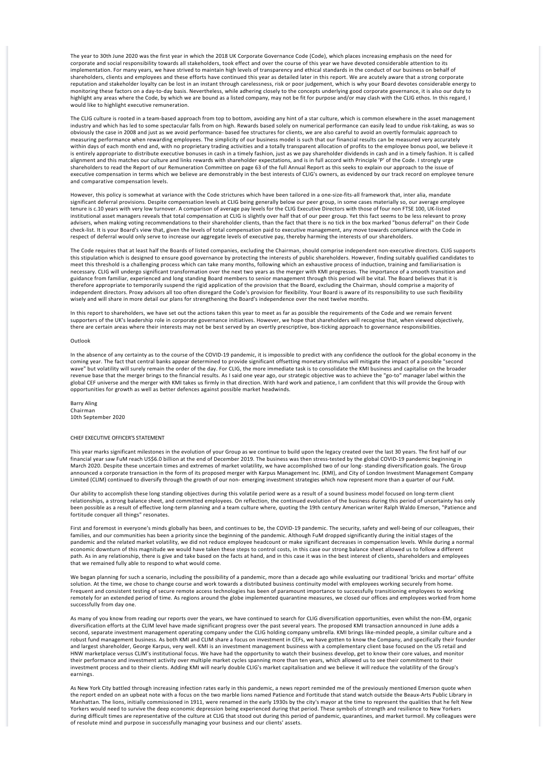The year to 30th June 2020 was the first year in which the 2018 UK Corporate Governance Code (Code), which places increasing emphasis on the need for corporate and social responsibility towards all stakeholders, took effect and over the course of this year we have devoted considerable attention to its implementation. For many years, we have strived to maintain high levels of transparency and ethical standards in the conduct of our business on behalf of shareholders, clients and employees and these efforts have continued this year as detailed later in this report. We are acutely aware that a strong corporate reputation and stakeholder loyalty can be lost in an instant through carelessness, risk or poor judgement, which is why your Board devotes considerable energy to monitoring these factors on a day-to-day basis. Nevertheless, while adhering closely to the concepts underlying good corporate governance, it is also our duty to highlight any areas where the Code, by which we are bound as a listed company, may not be fit for purpose and/or may clash with the CLIG ethos. In this regard, I would like to highlight executive remuneration.

The CLIG culture is rooted in a team-based approach from top to bottom, avoiding any hint of a star culture, which is common elsewhere in the asset management industry and which has led to some spectacular falls from on high. Rewards based solely on numerical performance can easily lead to undue risk‐taking, as was so obviously the case in 2008 and just as we avoid performance‐ based fee structures for clients, we are also careful to avoid an overtly formulaic approach to measuring performance when rewarding employees. The simplicity of our business model is such that our financial results can be measured very accurately within days of each month end and, with no proprietary trading activities and a totally transparent allocation of profits to the employee bonus pool, we believe it is entirely appropriate to distribute executive bonuses in cash in a timely fashion, just as we pay shareholder dividends in cash and in a timely fashion. It is called alignment and this matches our culture and links rewards with shareholder expectations, and is in full accord with Principle 'P' of the Code. I strongly urge shareholders to read the Report of our Remuneration Committee on page 63 of the full Annual Report as this seeks to explain our approach to the issue of executive compensation in terms which we believe are demonstrably in the best interests of CLIG's owners, as evidenced by our track record on employee tenure and comparative compensation levels.

However, this policy is somewhat at variance with the Code strictures which have been tailored in a one-size-fits-all framework that, inter alia, mandate significant deferral provisions. Despite compensation levels at CLIG being generally below our peer group, in some cases materially so, our average employee<br>tenure is c.10 years with very low turnover. A comparison of aver institutional asset managers reveals that total compensation at CLIG is slightly over half that of our peer group. Yet this fact seems to be less relevant to proxy advisers, when making voting recommendations to their shareholder clients, than the fact that there is no tick in the box marked "bonus deferral" on their Code check‐list. It is your Board's view that, given the levels of total compensation paid to executive management, any move towards compliance with the Code in respect of deferral would only serve to increase our aggregate levels of executive pay, thereby harming the interests of our shareholders.

The Code requires that at least half the Boards of listed companies, excluding the Chairman, should comprise independent non-executive directors. CLIG supports this stipulation which is designed to ensure good governance by protecting the interests of public shareholders. However, finding suitably qualified candidates to meet this threshold is a challenging process which can take many months, following which an exhaustive process of induction, training and familiarisation is necessary. CLIG will undergo significant transformation over the next two years as the merger with KMI progresses. The importance of a smooth transition and guidance from familiar, experienced and long standing Board members to senior management through this period will be vital. The Board believes that it is therefore appropriate to temporarily suspend the rigid application of the provision that the Board, excluding the Chairman, should comprise a majority of independent directors. Proxy advisors all too often disregard the Code's provision for flexibility. Your Board is aware of its responsibility to use such flexibility wisely and will share in more detail our plans for strengthening the Board's independence over the next twelve months.

In this report to shareholders, we have set out the actions taken this year to meet as far as possible the requirements of the Code and we remain fervent<br>supporters of the UK's leadership role in corporate governance initi there are certain areas where their interests may not be best served by an overtly prescriptive, box-ticking approach to governance responsibilities.

#### **Outlook**

In the absence of any certainty as to the course of the COVID-19 pandemic, it is impossible to predict with any confidence the outlook for the global economy in the<br>coming year. The fact that central banks appear determine wave" but volatility will surely remain the order of the day. For CLIG, the more immediate task is to consolidate the KMI business and capitalise on the broader revenue base that the merger brings to the financial results. As I said one year ago, our strategic objective was to achieve the "go-to" manager label within the<br>global CEF universe and the merger with KMI takes us firmly opportunities for growth as well as better defences against possible market headwinds.

Barry Aling Chairman 10th September 2020

### CHIEF EXECUTIVE OFFICER'S STATEMENT

This year marks significant milestones in the evolution of your Group as we continue to build upon the legacy created over the last 30 years. The first half of our financial year saw FuM reach US\$6.0 billion at the end of December 2019. The business was then stress‐tested by the global COVID‐19 pandemic beginning in March 2020. Despite these uncertain times and extremes of market volatility, we have accomplished two of our long- standing diversification goals. The Group<br>announced a corporate transaction in the form of its proposed mer Limited (CLIM) continued to diversify through the growth of our non‐ emerging investment strategies which now represent more than a quarter of our FuM.

Our ability to accomplish these long standing objectives during this volatile period were as a result of a sound business model focused on long-term client relationships, a strong balance sheet, and committed employees. On reflection, the continued evolution of the business during this period of uncertainty has only been possible as a result of effective long‐term planning and a team culture where, quoting the 19th century American writer Ralph Waldo Emerson, "Patience and fortitude conquer all things" resonates.

First and foremost in everyone's minds globally has been, and continues to be, the COVID-19 pandemic. The security, safety and well-being of our colleagues, their families, and our communities has been a priority since the beginning of the pandemic. Although FuM dropped significantly during the initial stages of the pandemic and the related market volatility, we did not reduce employee headcount or make significant decreases in compensation levels. While during a normal economic downturn of this magnitude we would have taken these steps to control costs, in this case our strong balance sheet allowed us to follow a different path. As in any relationship, there is give and take based on the facts at hand, and in this case it was in the best interest of clients, shareholders and employees that we remained fully able to respond to what would come.

We began planning for such a scenario, including the possibility of a pandemic, more than a decade ago while evaluating our traditional 'bricks and mortar' offsite solution. At the time, we chose to change course and work towards a distributed business continuity model with employees working securely from home. Frequent and consistent testing of secure remote access technologies has been of paramount importance to successfully transitioning employees to working remotely for an extended period of time. As regions around the globe implemented quarantine measures, we closed our offices and employees worked from home successfully from day one.

As many of you know from reading our reports over the years, we have continued to search for CLIG diversification opportunities, even whilst the non‐EM, organic diversification efforts at the CLIM level have made significant progress over the past several years. The proposed KMI transaction announced in June adds a<br>second, separate investment management operating company under the robust fund management business. As both KMI and CLIM share a focus on investment in CEFs, we have gotten to know the Company, and specifically their founder and largest shareholder, George Karpus, very well. KMI is an investment management business with a complementary client base focused on the US retail and HNW marketplace versus CLIM's institutional focus. We have had the opportunity to watch their business develop, get to know their core values, and monitor their performance and investment activity over multiple market cycles spanning more than ten years, which allowed us to see their commitment to their investment process and to their clients. Adding KMI will nearly double CLIG's market capitalisation and we believe it will reduce the volatility of the Group's earnings.

As New York City battled through increasing infection rates early in this pandemic, a news report reminded me of the previously mentioned Emerson quote when the report ended on an upbeat note with a focus on the two marble lions named Patience and Fortitude that stand watch outside the Beaux‐Arts Public Library in Manhattan. The lions, initially commissioned in 1911, were renamed in the early 1930s by the city's mayor at the time to represent the qualities that he felt New Yorkers would need to survive the deep economic depression being experienced during that period. These symbols of strength and resilience to New Yorkers during difficult times are representative of the culture at CLIG that stood out during this period of pandemic, quarantines, and market turmoil. My colleagues were of resolute mind and purpose in successfully managing your business and our clients' assets.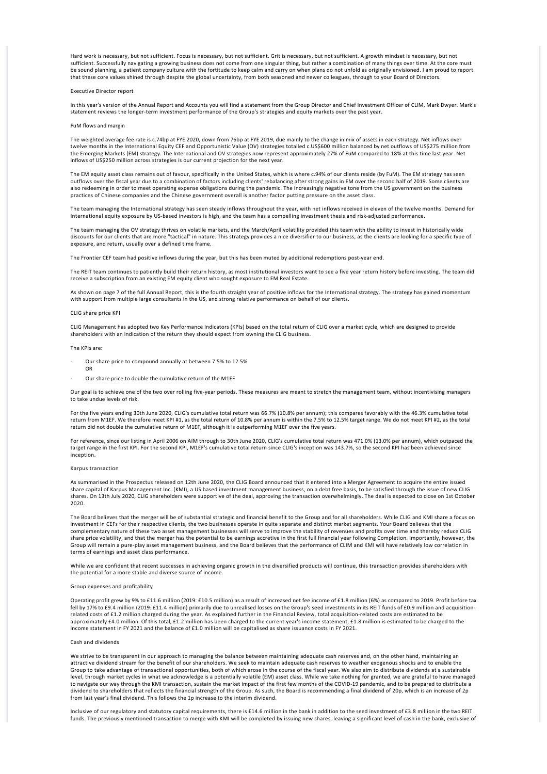Hard work is necessary, but not sufficient. Focus is necessary, but not sufficient. Grit is necessary, but not sufficient. A growth mindset is necessary, but not sufficient. Successfully navigating a growing business does not come from one singular thing, but rather a combination of many things over time. At the core must be sound planning, a patient company culture with the fortitude to keep calm and carry on when plans do not unfold as originally envisioned. I am proud to report that these core values shined through despite the global uncertainty, from both seasoned and newer colleagues, through to your Board of Directors.

### Executive Director report

In this year's version of the Annual Report and Accounts you will find a statement from the Group Director and Chief Investment Officer of CLIM, Mark Dwyer. Mark's statement reviews the longer‐term investment performance of the Group's strategies and equity markets over the past year.

### FuM flows and margin

The weighted average fee rate is c.74bp at FYE 2020, down from 76bp at FYE 2019, due mainly to the change in mix of assets in each strategy. Net inflows over twelve months in the International Equity CEF and Opportunistic Value (OV) strategies totalled c.US\$600 million balanced by net outflows of US\$275 million from the Emerging Markets (EM) strategy. The International and OV strategies now represent approximately 27% of FuM compared to 18% at this time last year. Net inflows of US\$250 million across strategies is our current projection for the next year.

The EM equity asset class remains out of favour, specifically in the United States, which is where c.94% of our clients reside (by FuM). The EM strategy has seen outflows over the fiscal year due to a combination of factors including clients' rebalancing after strong gains in EM over the second half of 2019. Some clients are<br>also redeeming in order to meet operating expense obligat practices of Chinese companies and the Chinese government overall is another factor putting pressure on the asset class.

The team managing the International strategy has seen steady inflows throughout the year, with net inflows received in eleven of the twelve months. Demand for International equity exposure by US‐based investors is high, and the team has a compelling investment thesis and risk‐adjusted performance.

The team managing the OV strategy thrives on volatile markets, and the March/April volatility provided this team with the ability to invest in historically wide discounts for our clients that are more "tactical" in nature. This strategy provides a nice diversifier to our business, as the clients are looking for a specific type of exposure, and return, usually over a defined time frame.

The Frontier CEF team had positive inflows during the year, but this has been muted by additional redemptions post‐year end.

The REIT team continues to patiently build their return history, as most institutional investors want to see a five year return history before investing. The team did receive a subscription from an existing EM equity client who sought exposure to EM Real Estate.

As shown on page 7 of the full Annual Report, this is the fourth straight year of positive inflows for the International strategy. The strategy has gained momentum with support from multiple large consultants in the US, and strong relative performance on behalf of our clients.

### CLIG share price KPI

CLIG Management has adopted two Key Performance Indicators (KPIs) based on the total return of CLIG over a market cycle, which are designed to provide shareholders with an indication of the return they should expect from owning the CLIG business.

#### The KPIs are:

OR

- ‐ Our share price to compound annually at between 7.5% to 12.5%
- ‐ Our share price to double the cumulative return of the M1EF

Our goal is to achieve one of the two over rolling five-year periods. These measures are meant to stretch the management team, without incentivising managers to take undue levels of risk.

For the five years ending 30th June 2020, CLIG's cumulative total return was 66.7% (10.8% per annum); this compares favorably with the 46.3% cumulative total return from M1EF. We therefore meet KPI #1, as the total return of 10.8% per annum is within the 7.5% to 12.5% target range. We do not meet KPI #2, as the total return did not double the cumulative return of M1EF, although it is outperforming M1EF over the five years.

For reference, since our listing in April 2006 on AIM through to 30th June 2020, CLIG's cumulative total return was 471.0% (13.0% per annum), which outpaced the target range in the first KPI. For the second KPI, M1EF's cumulative total return since CLIG's inception was 143.7%, so the second KPI has been achieved since inception.

#### Karpus transaction

As summarised in the Prospectus released on 12th June 2020, the CLIG Board announced that it entered into a Merger Agreement to acquire the entire issued share capital of Karpus Management Inc. (KMI), a US based investment management business, on a debt free basis, to be satisfied through the issue of new CLIG shares. On 13th July 2020, CLIG shareholders were supportive of the deal, approving the transaction overwhelmingly. The deal is expected to close on 1st October 2020.

The Board believes that the merger will be of substantial strategic and financial benefit to the Group and for all shareholders. While CLIG and KMI share a focus on investment in CEFs for their respective clients, the two businesses operate in quite separate and distinct market segments. Your Board believes that the complementary nature of these two asset management businesses will serve to improve the stability of revenues and profits over time and thereby reduce CLIG share price volatility, and that the merger has the potential to be earnings accretive in the first full financial year following Completion. Importantly, however, the Group will remain a pure‐play asset management business, and the Board believes that the performance of CLIM and KMI will have relatively low correlation in terms of earnings and asset class performance.

While we are confident that recent successes in achieving organic growth in the diversified products will continue, this transaction provides shareholders with the potential for a more stable and diverse source of income.

### Group expenses and profitability

Operating profit grew by 9% to £11.6 million (2019: £10.5 million) as a result of increased net fee income of £1.8 million (6%) as compared to 2019. Profit before tax fell by 17% to £9.4 million (2019: £11.4 million) primarily due to unrealised losses on the Group's seed investments in its REIT funds of £0.9 million and acquisitionrelated costs of £1.2 million charged during the year. As explained further in the Financial Review, total acquisition‐related costs are estimated to be approximately £4.0 million. Of this total, £1.2 million has been charged to the current year's income statement, £1.8 million is estimated to be charged to the income statement in FY 2021 and the balance of £1.0 million will be capitalised as share issuance costs in FY 2021.

### Cash and dividends

We strive to be transparent in our approach to managing the balance between maintaining adequate cash reserves and, on the other hand, maintaining an attractive dividend stream for the benefit of our shareholders. We seek to maintain adequate cash reserves to weather exogenous shocks and to enable the Group to take advantage of transactional opportunities, both of which arose in the course of the fiscal year. We also aim to distribute dividends at a sustainable level, through market cycles in what we acknowledge is a potentially volatile (EM) asset class. While we take nothing for granted, we are grateful to have managed<br>to navigate our way through the KMI transaction, sustain th dividend to shareholders that reflects the financial strength of the Group. As such, the Board is recommending a final dividend of 20p, which is an increase of 2p from last year's final dividend. This follows the 1p increase to the interim dividend.

Inclusive of our regulatory and statutory capital requirements, there is £14.6 million in the bank in addition to the seed investment of £3.8 million in the two REIT funds. The previously mentioned transaction to merge with KMI will be completed by issuing new shares, leaving a significant level of cash in the bank, exclusive of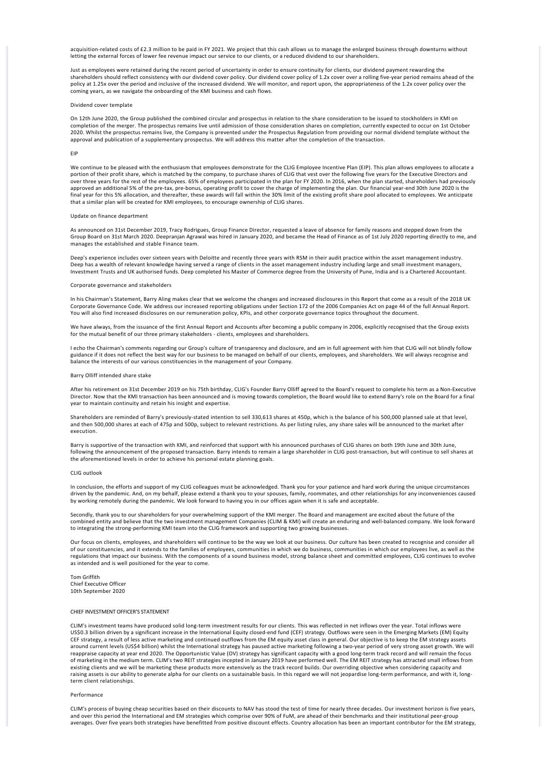acquisition-related costs of £2.3 million to be paid in FY 2021. We project that this cash allows us to manage the enlarged business through downturns without letting the external forces of lower fee revenue impact our service to our clients, or a reduced dividend to our shareholders.

Just as employees were retained during the recent period of uncertainty in order to ensure continuity for clients, our dividend payment rewarding the shareholders should reflect consistency with our dividend cover policy. Our dividend cover policy of 1.2x cover over a rolling five-year period remains ahead of the policy at 1.25x over the period and inclusive of the increased dividend. We will monitor, and report upon, the appropriateness of the 1.2x cover policy over the coming years, as we navigate the onboarding of the KMI business and cash flows.

### Dividend cover template

On 12th June 2020, the Group published the combined circular and prospectus in relation to the share consideration to be issued to stockholders in KMI on completion of the merger. The prospectus remains live until admission of those consideration shares on completion, currently expected to occur on 1st October 2020. Whilst the prospectus remains live, the Company is prevented under the Prospectus Regulation from providing our normal dividend template without the approval and publication of a supplementary prospectus. We will address this matter after the completion of the transaction.

#### EIP

We continue to be pleased with the enthusiasm that employees demonstrate for the CLIG Employee Incentive Plan (EIP). This plan allows employees to allocate a portion of their profit share, which is matched by the company, to purchase shares of CLIG that vest over the following five years for the Executive Directors and over three years for the rest of the employees. 65% of employees participated in the plan for FY 2020. In 2016, when the plan started, shareholders had previously approved an additional 5% of the pre-tax, pre-bonus, operating profit to cover the charge of implementing the plan. Our financial year-end 30th June 2020 is the final year for this 5% allocation, and thereafter, these awards will fall within the 30% limit of the existing profit share pool allocated to employees. We anticipate that a similar plan will be created for KMI employees, to encourage ownership of CLIG shares.

#### Update on finance department

As announced on 31st December 2019, Tracy Rodrigues, Group Finance Director, requested a leave of absence for family reasons and stepped down from the Group Board on 31st March 2020. Deepranjan Agrawal was hired in January 2020, and became the Head of Finance as of 1st July 2020 reporting directly to me, and manages the established and stable Finance team.

Deep's experience includes over sixteen years with Deloitte and recently three years with RSM in their audit practice within the asset management industry. Deep has a wealth of relevant knowledge having served a range of clients in the asset management industry including large and small investment managers, Investment Trusts and UK authorised funds. Deep completed his Master of Commerce degree from the University of Pune, India and is a Chartered Accountant.

#### Corporate governance and stakeholders

In his Chairman's Statement, Barry Aling makes clear that we welcome the changes and increased disclosures in this Report that come as a result of the 2018 UK Corporate Governance Code. We address our increased reporting obligations under Section 172 of the 2006 Companies Act on page 44 of the full Annual Report. You will also find increased disclosures on our remuneration policy, KPIs, and other corporate governance topics throughout the document.

We have always, from the issuance of the first Annual Report and Accounts after becoming a public company in 2006, explicitly recognised that the Group exists for the mutual benefit of our three primary stakeholders - clients, employees and shareholders.

I echo the Chairman's comments regarding our Group's culture of transparency and disclosure, and am in full agreement with him that CLIG will not blindly follow guidance if it does not reflect the best way for our business to be managed on behalf of our clients, employees, and shareholders. We will always recognise and balance the interests of our various constituencies in the management of your Company.

### Barry Olliff intended share stake

After his retirement on 31st December 2019 on his 75th birthday, CLIG's Founder Barry Olliff agreed to the Board's request to complete his term as a Non‐Executive Director. Now that the KMI transaction has been announced and is moving towards completion, the Board would like to extend Barry's role on the Board for a final year to maintain continuity and retain his insight and expertise.

Shareholders are reminded of Barry's previously‐stated intention to sell 330,613 shares at 450p, which is the balance of his 500,000 planned sale at that level, and then 500,000 shares at each of 475p and 500p, subject to relevant restrictions. As per listing rules, any share sales will be announced to the market after execution.

Barry is supportive of the transaction with KMI, and reinforced that support with his announced purchases of CLIG shares on both 19th June and 30th June, following the announcement of the proposed transaction. Barry intends to remain a large shareholder in CLIG post-transaction, but will continue to sell shares at the aforementioned levels in order to achieve his personal estate planning goals.

#### CLIG outlook

In conclusion, the efforts and support of my CLIG colleagues must be acknowledged. Thank you for your patience and hard work during the unique circumstances driven by the pandemic. And, on my behalf, please extend a thank you to your spouses, family, roommates, and other relationships for any inconveniences caused by working remotely during the pandemic. We look forward to having you in our offices again when it is safe and acceptable.

Secondly, thank you to our shareholders for your overwhelming support of the KMI merger. The Board and management are excited about the future of the combined entity and believe that the two investment management Companies (CLIM & KMI) will create an enduring and well‐balanced company. We look forward to integrating the strong‐performing KMI team into the CLIG framework and supporting two growing businesses.

Our focus on clients, employees, and shareholders will continue to be the way we look at our business. Our culture has been created to recognise and consider all of our constituencies, and it extends to the families of employees, communities in which we do business, communities in which our employees live, as well as the regulations that impact our business. With the components of a sound business model, strong balance sheet and committed employees, CLIG continues to evolve as intended and is well positioned for the year to come.

Tom Griffith Chief Executive Officer 10th September 2020

#### CHIEF INVESTMENT OFFICER'S STATEMENT

CLIM's investment teams have produced solid long‐term investment results for our clients. This was reflected in net inflows over the year. Total inflows were US\$0.3 billion driven by a significant increase in the International Equity closed‐end fund (CEF) strategy. Outflows were seen in the Emerging Markets (EM) Equity CEF strategy, a result of less active marketing and continued outflows from the EM equity asset class in general. Our objective is to keep the EM strategy assets around current levels (US\$4 billion) whilst the International strategy has paused active marketing following a two-year period of very strong asset growth. We will reappraise capacity at year end 2020. The Opportunistic Value (OV) strategy has significant capacity with a good long‐term track record and will remain the focus of marketing in the medium term. CLIM's two REIT strategies incepted in January 2019 have performed well. The EM REIT strategy has attracted small inflows from existing clients and we will be marketing these products more extensively as the track record builds. Our overriding objective when considering capacity and raising assets is our ability to generate alpha for our clients on a sustainable basis. In this regard we will not jeopardise long-term performance, and with it, longterm client relationships.

#### Performance

CLIM's process of buying cheap securities based on their discounts to NAV has stood the test of time for nearly three decades. Our investment horizon is five years, and over this period the International and EM strategies which comprise over 90% of FuM, are ahead of their benchmarks and their institutional peer-group averages. Over five years both strategies have benefitted from positive discount effects. Country allocation has been an important contributor for the EM strategy,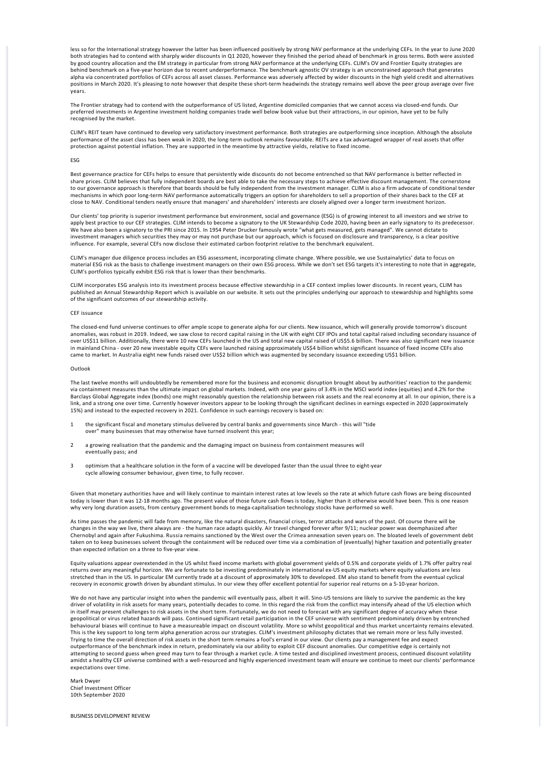less so for the International strategy however the latter has been influenced positively by strong NAV performance at the underlying CEFs. In the year to June 2020 both strategies had to contend with sharply wider discounts in Q1 2020, however they finished the period ahead of benchmark in gross terms. Both were assisted by good country allocation and the EM strategy in particular from strong NAV performance at the underlying CEFs. CLIM's OV and Frontier Equity strategies are behind benchmark on a five‐year horizon due to recent underperformance. The benchmark agnostic OV strategy is an unconstrained approach that generates alpha via concentrated portfolios of CEFs across all asset classes. Performance was adversely affected by wider discounts in the high yield credit and alternatives positions in March 2020. It's pleasing to note however that despite these short‐term headwinds the strategy remains well above the peer group average over five years.

The Frontier strategy had to contend with the outperformance of US listed, Argentine domiciled companies that we cannot access via closed‐end funds. Our preferred investments in Argentine investment holding companies trade well below book value but their attractions, in our opinion, have yet to be fully .<br>recognised by the market.

CLIM's REIT team have continued to develop very satisfactory investment performance. Both strategies are outperforming since inception. Although the absolute performance of the asset class has been weak in 2020, the long‐term outlook remains favourable. REITs are a tax advantaged wrapper of real assets that offer protection against potential inflation. They are supported in the meantime by attractive yields, relative to fixed income.

#### ESG

Best governance practice for CEFs helps to ensure that persistently wide discounts do not become entrenched so that NAV performance is better reflected in share prices. CLIM believes that fully independent boards are best able to take the necessary steps to achieve effective discount management. The cornerstone to our governance approach is therefore that boards should be fully independent from the investment manager. CLIM is also a firm advocate of conditional tender mechanisms in which poor long‐term NAV performance automatically triggers an option for shareholders to sell a proportion of their shares back to the CEF at close to NAV. Conditional tenders neatly ensure that managers' and shareholders' interests are closely aligned over a longer term investment horizon.

Our clients' top priority is superior investment performance but environment, social and governance (ESG) is of growing interest to all investors and we strive to apply best practice to our CEF strategies. CLIM intends to become a signatory to the UK Stewardship Code 2020, having been an early signatory to its predecessor.<br>We have also been a signatory to the PRI since 2015. In 1954 investment managers which securities they may or may not purchase but our approach, which is focused on disclosure and transparency, is a clear positive influence. For example, several CEFs now disclose their estimated carbon footprint relative to the benchmark equivalent.

CLIM's manager due diligence process includes an ESG assessment, incorporating climate change. Where possible, we use Sustainalytics' data to focus on material ESG risk as the basis to challenge investment managers on their own ESG process. While we don't set ESG targets it's interesting to note that in aggregate, CLIM's portfolios typically exhibit ESG risk that is lower than their benchmarks.

CLIM incorporates ESG analysis into its investment process because effective stewardship in a CEF context implies lower discounts. In recent years, CLIM has published an Annual Stewardship Report which is available on our website. It sets out the principles underlying our approach to stewardship and highlights some of the significant outcomes of our stewardship activity.

#### CEF issuance

The closed-end fund universe continues to offer ample scope to generate alpha for our clients. New issuance, which will generally provide tomorrow's discount anomalies, was robust in 2019. Indeed, we saw close to record capital raising in the UK with eight CEF IPOs and total capital raised including secondary issuance of over US\$11 billion. Additionally, there were 10 new CEFs launched in the US and total new capital raised of US\$5.6 billion. There was also significant new issuance in mainland China ‐ over 20 new investable equity CEFs were launched raising approximately US\$4 billion whilst significant issuance of fixed income CEFs also came to market. In Australia eight new funds raised over US\$2 billion which was augmented by secondary issuance exceeding US\$1 billion.

### Outlook

The last twelve months will undoubtedly be remembered more for the business and economic disruption brought about by authorities' reaction to the pandemic via containment measures than the ultimate impact on global markets. Indeed, with one year gains of 3.4% in the MSCI world index (equities) and 4.2% for the Barclays Global Aggregate index (bonds) one might reasonably question the relationship between risk assets and the real economy at all. In our opinion, there is a link, and a strong one over time. Currently however investors appear to be looking through the significant declines in earnings expected in 2020 (approximately<br>15%) and instead to the expected recovery in 2021. Confidence

- 1 the significant fiscal and monetary stimulus delivered by central banks and governments since March ‐ this will "tide over" many businesses that may otherwise have turned insolvent this year;
- 2 a growing realisation that the pandemic and the damaging impact on business from containment measures will eventually pass; and
- 3 optimism that a healthcare solution in the form of a vaccine will be developed faster than the usual three to eight-year cycle allowing consumer behaviour, given time, to fully recover.

Given that monetary authorities have and will likely continue to maintain interest rates at low levels so the rate at which future cash flows are being discounted today is lower than it was 12-18 months ago. The present value of those future cash flows is today, higher than it otherwise would have been. This is one reason why very long duration assets, from century government bonds to mega-capitalisation technology stocks have performed so well.

As time passes the pandemic will fade from memory, like the natural disasters, financial crises, terror attacks and wars of the past. Of course there will be changes in the way we live, there always are ‐ the human race adapts quickly. Air travel changed forever after 9/11; nuclear power was deemphasized after Chernobyl and again after Fukushima. Russia remains sanctioned by the West over the Crimea annexation seven years on. The bloated levels of government debt taken on to keep businesses solvent through the containment will be reduced over time via a combination of (eventually) higher taxation and potentially greater than expected inflation on a three to five‐year view.

Equity valuations appear overextended in the US whilst fixed income markets with global government yields of 0.5% and corporate yields of 1.7% offer paltry real returns over any meaningful horizon. We are fortunate to be investing predominately in international ex‐US equity markets where equity valuations are less stretched than in the US. In particular EM currently trade at a discount of approximately 30% to developed. EM also stand to benefit from the eventual cyclical recovery in economic growth driven by abundant stimulus. In our view they offer excellent potential for superior real returns on a 5‐10‐year horizon.

We do not have any particular insight into when the pandemic will eventually pass, albeit it will. Sino-US tensions are likely to survive the pandemic as the key driver of volatility in risk assets for many years, potentially decades to come. In this regard the risk from the conflict may intensify ahead of the US election which<br>in itself may present challenges to risk assets in the geopolitical or virus related hazards will pass. Continued significant retail participation in the CEF universe with sentiment predominately driven by entrenched behavioural biases will continue to have a measureable impact on discount volatility. More so whilst geopolitical and thus market uncertainty remains elevated.<br>This is the key support to long term alpha generation across o Trying to time the overall direction of risk assets in the short term remains a fool's errand in our view. Our clients pay a management fee and expect outperformance of the benchmark index in return, predominately via our ability to exploit CEF discount anomalies. Our competitive edge is certainly not<br>attempting to second guess when greed may turn to fear through a marke amidst a healthy CEF universe combined with a well-resourced and highly experienced investment team will ensure we continue to meet our clients' performance expectations over time.

Mark Dwyer Chief Investment Officer 10th September 2020

BUSINESS DEVELOPMENT REVIEW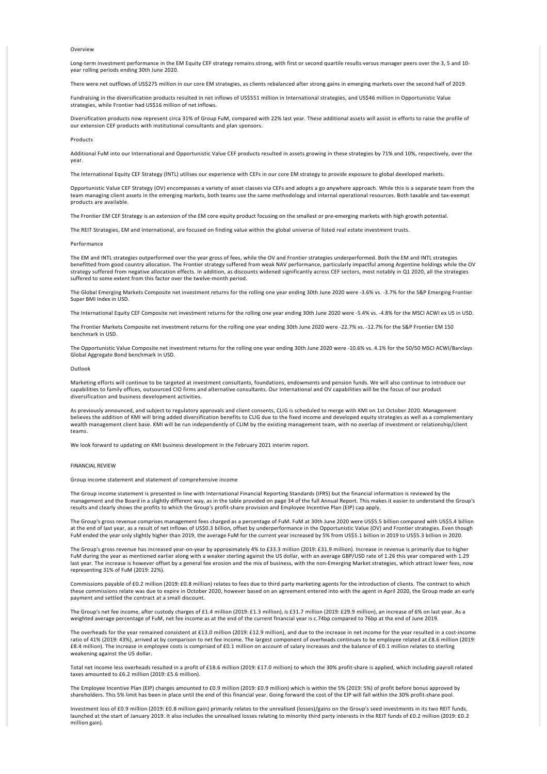### **Overview**

Long-term investment performance in the EM Equity CEF strategy remains strong, with first or second quartile results versus manager peers over the 3, 5 and 10year rolling periods ending 30th June 2020.

There were net outflows of US\$275 million in our core EM strategies, as clients rebalanced after strong gains in emerging markets over the second half of 2019.

Fundraising in the diversification products resulted in net inflows of US\$551 million in International strategies, and US\$46 million in Opportunistic Value strategies, while Frontier had US\$16 million of net inflows.

Diversification products now represent circa 31% of Group FuM, compared with 22% last year. These additional assets will assist in efforts to raise the profile of our extension CEF products with institutional consultants and plan sponsors.

#### Products

Additional FuM into our International and Opportunistic Value CEF products resulted in assets growing in these strategies by 71% and 10%, respectively, over the year.

The International Equity CEF Strategy (INTL) utilises our experience with CEFs in our core EM strategy to provide exposure to global developed markets.

Opportunistic Value CEF Strategy (OV) encompasses a variety of asset classes via CEFs and adopts a go anywhere approach. While this is a separate team from the team managing client assets in the emerging markets, both teams use the same methodology and internal operational resources. Both taxable and tax-exempt products are available.

The Frontier EM CEF Strategy is an extension of the EM core equity product focusing on the smallest or pre-emerging markets with high growth potential.

The REIT Strategies, EM and International, are focused on finding value within the global universe of listed real estate investment trusts.

#### Performance

The EM and INTL strategies outperformed over the year gross of fees, while the OV and Frontier strategies underperformed. Both the EM and INTL strategies benefitted from good country allocation. The Frontier strategy suffered from weak NAV performance, particularly impactful among Argentine holdings while the OV strategy suffered from negative allocation effects. In addition, as discounts widened significantly across CEF sectors, most notably in Q1 2020, all the strategies suffered to some extent from this factor over the twelve-month period.

The Global Emerging Markets Composite net investment returns for the rolling one year ending 30th June 2020 were ‐3.6% vs. ‐3.7% for the S&P Emerging Frontier Super BMI Index in USD.

The International Equity CEF Composite net investment returns for the rolling one year ending 30th June 2020 were ‐5.4% vs. ‐4.8% for the MSCI ACWI ex US in USD.

The Frontier Markets Composite net investment returns for the rolling one year ending 30th June 2020 were ‐22.7% vs. ‐12.7% for the S&P Frontier EM 150 benchmark in USD.

The Opportunistic Value Composite net investment returns for the rolling one year ending 30th June 2020 were ‐10.6% vs. 4.1% for the 50/50 MSCI ACWI/Barclays Global Aggregate Bond benchmark in USD.

### Outlook

Marketing efforts will continue to be targeted at investment consultants, foundations, endowments and pension funds. We will also continue to introduce our capabilities to family offices, outsourced CIO firms and alternative consultants. Our International and OV capabilities will be the focus of our product diversification and business development activities.

As previously announced, and subject to regulatory approvals and client consents, CLIG is scheduled to merge with KMI on 1st October 2020. Management believes the addition of KMI will bring added diversification benefits to CLIG due to the fixed income and developed equity strategies as well as a complementary wealth management client base. KMI will be run independently of CLIM by the existing management team, with no overlap of investment or relationship/client teams.

We look forward to updating on KMI business development in the February 2021 interim report.

#### FINANCIAL REVIEW

Group income statement and statement of comprehensive income

The Group income statement is presented in line with International Financial Reporting Standards (IFRS) but the financial information is reviewed by the management and the Board in a slightly different way, as in the table provided on page 34 of the full Annual Report. This makes it easier to understand the Group's results and clearly shows the profits to which the Group's profit‐share provision and Employee Incentive Plan (EIP) cap apply.

The Group's gross revenue comprises management fees charged as a percentage of FuM. FuM at 30th June 2020 were US\$5.5 billion compared with US\$5.4 billion at the end of last year, as a result of net inflows of US\$0.3 billion, offset by underperformance in the Opportunistic Value (OV) and Frontier strategies. Even though FuM ended the year only slightly higher than 2019, the average FuM for the current year increased by 5% from US\$5.1 billion in 2019 to US\$5.3 billion in 2020.

The Group's gross revenue has increased year‐on‐year by approximately 4% to £33.3 million (2019: £31.9 million). Increase in revenue is primarily due to higher FuM during the year as mentioned earlier along with a weaker sterling against the US dollar, with an average GBP/USD rate of 1.26 this year compared with 1.29 last year. The increase is however offset by a general fee erosion and the mix of business, with the non-Emerging Market strategies, which attract lower fees, now representing 31% of FuM (2019: 22%).

Commissions payable of £0.2 million (2019: £0.8 million) relates to fees due to third party marketing agents for the introduction of clients. The contract to which<br>these commissions relate was due to expire in October 2020 payment and settled the contract at a small discount.

The Group's net fee income, after custody charges of £1.4 million (2019: £1.3 million), is £31.7 million (2019: £29.9 million), an increase of 6% on last year. As a weighted average percentage of FuM, net fee income as at the end of the current financial year is c.74bp compared to 76bp at the end of June 2019.

The overheads for the year remained consistent at £13.0 million (2019: £12.9 million), and due to the increase in net income for the year resulted in a cost-income ratio of 41% (2019: 43%), arrived at by comparison to net fee income. The largest component of overheads continues to be employee related at £8.6 million (2019: £8.4 million). The increase in employee costs is comprised of £0.1 million on account of salary increases and the balance of £0.1 million relates to sterling weakening against the US dollar.

Total net income less overheads resulted in a profit of £18.6 million (2019: £17.0 million) to which the 30% profit‐share is applied, which including payroll related taxes amounted to £6.2 million (2019: £5.6 million).

The Employee Incentive Plan (EIP) charges amounted to £0.9 million (2019: £0.9 million) which is within the 5% (2019: 5%) of profit before bonus approved by shareholders. This 5% limit has been in place until the end of this financial year. Going forward the cost of the EIP will fall within the 30% profit‐share pool.

Investment loss of £0.9 million (2019: £0.8 million gain) primarily relates to the unrealised (losses)/gains on the Group's seed investments in its two REIT funds, launched at the start of January 2019. It also includes the unrealised losses relating to minority third party interests in the REIT funds of £0.2 million (2019: £0.2 million gain).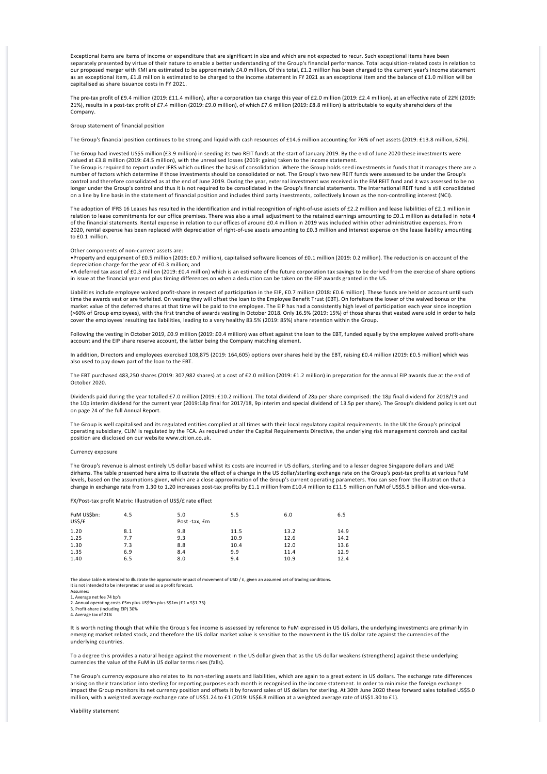Exceptional items are items of income or expenditure that are significant in size and which are not expected to recur. Such exceptional items have been separately presented by virtue of their nature to enable a better understanding of the Group's financial performance. Total acquisition-related costs in relation to<br>our proposed merger with KMI are estimated to be approxim as an exceptional item, £1.8 million is estimated to be charged to the income statement in FY 2021 as an exceptional item and the balance of £1.0 million will be capitalised as share issuance costs in FY 2021.

The pre-tax profit of £9.4 million (2019: £11.4 million), after a corporation tax charge this year of £2.0 million (2019: £2.4 million), at an effective rate of 22% (2019: 21%), results in a post-tax profit of £7.4 million (2019: £9.0 million), of which £7.6 million (2019: £8.8 million) is attributable to equity shareholders of the Company.

### Group statement of financial position

The Group's financial position continues to be strong and liquid with cash resources of £14.6 million accounting for 76% of net assets (2019: £13.8 million, 62%).

The Group had invested US\$5 million (£3.9 million) in seeding its two REIT funds at the start of January 2019. By the end of June 2020 these investments were valued at £3.8 million (2019: £4.5 million), with the unrealised losses (2019: gains) taken to the income statement. The Group is required to report under IFRS which outlines the basis of consolidation. Where the Group holds seed investments in funds that it manages there are a number of factors which determine if those investments should be consolidated or not. The Group's two new REIT funds were assessed to be under the Group's

control and therefore consolidated as at the end of June 2019. During the year, external investment was received in the EM REIT fund and it was assessed to be no longer under the Group's control and thus it is not required to be consolidated in the Group's financial statements. The International REIT fund is still consolidated on a line by line basis in the statement of financial position and includes third party investments, collectively known as the non‐controlling interest (NCI).

The adoption of IFRS 16 Leases has resulted in the identification and initial recognition of right‐of‐use assets of £2.2 million and lease liabilities of £2.1 million in relation to lease commitments for our office premises. There was also a small adjustment to the retained earnings amounting to £0.1 million as detailed in note 4<br>of the financial statements. Rental expense in relation to o 2020, rental expense has been replaced with depreciation of right‐of‐use assets amounting to £0.3 million and interest expense on the lease liability amounting to £0.1 million.

#### Other components of non‐current assets are:

•Property and equipment of £0.5 million (2019: £0.7 million), capitalised software licences of £0.1 million (2019: 0.2 million). The reduction is on account of the depreciation charge for the year of £0.3 million; and<br>•A deferred tax asset of £0.3 million (2019: £0.4 million) which is an estimate of the future corporation tax savings to be derived from the exercise of share options

in issue at the financial year end plus timing differences on when a deduction can be taken on the EIP awards granted in the US.

Liabilities include employee waived profit-share in respect of participation in the EIP, £0.7 million (2018: £0.6 million). These funds are held on account until such time the awards vest or are forfeited. On vesting they will offset the loan to the Employee Benefit Trust (EBT). On forfeiture the lower of the waived bonus or the market value of the deferred shares at that time will be paid to the employee. The EIP has had a consistently high level of participation each year since inception (>60% of Group employees), with the first tranche of awards vesting in October 2018. Only 16.5% (2019: 15%) of those shares that vested were sold in order to help cover the employees' resulting tax liabilities, leading to a very healthy 83.5% (2019: 85%) share retention within the Group.

Following the vesting in October 2019, £0.9 million (2019: £0.4 million) was offset against the loan to the EBT, funded equally by the employee waived profit-share account and the EIP share reserve account, the latter being the Company matching element.

In addition, Directors and employees exercised 108,875 (2019: 164,605) options over shares held by the EBT, raising £0.4 million (2019: £0.5 million) which was also used to pay down part of the loan to the EBT.

The EBT purchased 483,250 shares (2019: 307,982 shares) at a cost of £2.0 million (2019: £1.2 million) in preparation for the annual EIP awards due at the end of October 2020.

Dividends paid during the year totalled £7.0 million (2019: £10.2 million). The total dividend of 28p per share comprised: the 18p final dividend for 2018/19 and the 10p interim dividend for the current year (2019:18p final for 2017/18, 9p interim and special dividend of 13.5p per share). The Group's dividend policy is set out on page 24 of the full Annual Report.

The Group is well capitalised and its regulated entities complied at all times with their local regulatory capital requirements. In the UK the Group's principal operating subsidiary, CLIM is regulated by the FCA. As required under the Capital Requirements Directive, the underlying risk management controls and capital position are disclosed on our website www.citlon.co.uk.

### Currency exposure

The Group's revenue is almost entirely US dollar based whilst its costs are incurred in US dollars, sterling and to a lesser degree Singapore dollars and UAE dirhams. The table presented here aims to illustrate the effect of a change in the US dollar/sterling exchange rate on the Group's post-tax profits at various FuM levels, based on the assumptions given, which are a close approximation of the Group's current operating parameters. You can see from the illustration that a change in exchange rate from 1.30 to 1.20 increases post-tax profits by £1.1 million from £10.4 million to £11.5 million on FuM of US\$5.5 billion and vice-versa.

FX/Post‐tax profit Matrix: Illustration of US\$/£ rate effect

| FuM US\$bn:<br>US\$/£ | 4.5 | 5.0<br>Post -tax, £m | 5.5  | 6.0  | 6.5  |
|-----------------------|-----|----------------------|------|------|------|
| 1.20                  | 8.1 | 9.8                  | 11.5 | 13.2 | 14.9 |
| 1.25                  | 7.7 | 9.3                  | 10.9 | 12.6 | 14.2 |
| 1.30                  | 7.3 | 8.8                  | 10.4 | 12.0 | 13.6 |
| 1.35                  | 6.9 | 8.4                  | 9.9  | 11.4 | 12.9 |
| 1.40                  | 6.5 | 8.0                  | 9.4  | 10.9 | 12.4 |

The above table is intended to illustrate the approximate impact of movement of USD / £, given an assumed set of trading conditions. It is not intended to be interpreted or used as a profit forecast.

Assumes: 1. Average net fee 74 bp's

2. Annual operating costs £5m plus US\$9m plus S\$1m (£1 = S\$1.75) 3. Profit‐share (including EIP) 30% 4. Average tax of 21%

It is worth noting though that while the Group's fee income is assessed by reference to FuM expressed in US dollars, the underlying investments are primarily in emerging market related stock, and therefore the US dollar market value is sensitive to the movement in the US dollar rate against the currencies of the underlying countries.

To a degree this provides a natural hedge against the movement in the US dollar given that as the US dollar weakens (strengthens) against these underlying currencies the value of the FuM in US dollar terms rises (falls).

The Group's currency exposure also relates to its non-sterling assets and liabilities, which are again to a great extent in US dollars. The exchange rate differences arising on their translation into sterling for reporting purposes each month is recognised in the income statement. In order to minimise the foreign exchange impact the Group monitors its net currency position and offsets it by forward sales of US dollars for sterling. At 30th June 2020 these forward sales totalled US\$5.0 million, with a weighted average exchange rate of US\$1.24 to £1 (2019: US\$6.8 million at a weighted average rate of US\$1.30 to £1).

Viability statement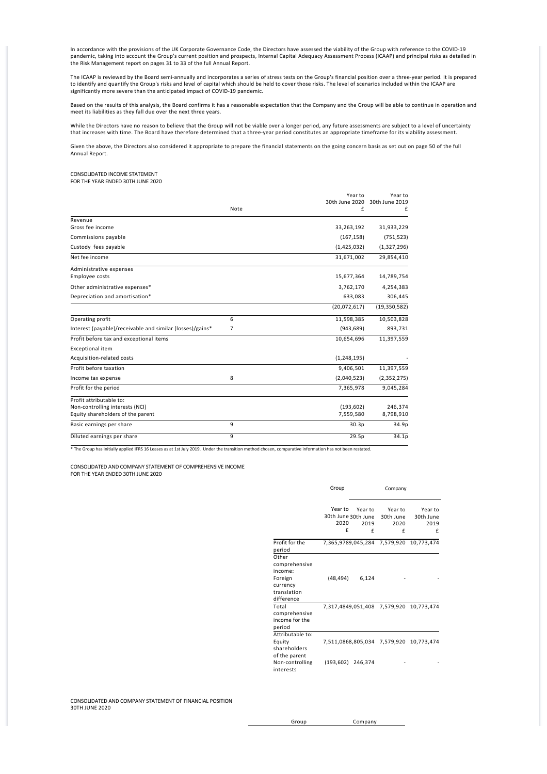In accordance with the provisions of the UK Corporate Governance Code, the Directors have assessed the viability of the Group with reference to the COVID‐19 pandemic, taking into account the Group's current position and prospects, Internal Capital Adequacy Assessment Process (ICAAP) and principal risks as detailed in the Risk Management report on pages 31 to 33 of the full Annual Report.

The ICAAP is reviewed by the Board semi-annually and incorporates a series of stress tests on the Group's financial position over a three-year period. It is prepared to identify and quantify the Group's risks and level of capital which should be held to cover those risks. The level of scenarios included within the ICAAP are<br>significantly more severe than the anticipated impact of COVID

Based on the results of this analysis, the Board confirms it has a reasonable expectation that the Company and the Group will be able to continue in operation and<br>meet its liabilities as they fall due over the next three y

While the Directors have no reason to believe that the Group will not be viable over a longer period, any future assessments are subject to a level of uncertainty that increases with time. The Board have therefore determined that a three‐year period constitutes an appropriate timeframe for its viability assessment.

Given the above, the Directors also considered it appropriate to prepare the financial statements on the going concern basis as set out on page 50 of the full Annual Report.

### CONSOLIDATED INCOME STATEMENT FOR THE YEAR ENDED 30TH JUNE 2020

|                                                           |      | Year to        | Year to        |
|-----------------------------------------------------------|------|----------------|----------------|
|                                                           |      | 30th June 2020 | 30th June 2019 |
|                                                           | Note | £              | f              |
| Revenue                                                   |      |                |                |
| Gross fee income                                          |      | 33,263,192     | 31,933,229     |
| Commissions payable                                       |      | (167, 158)     | (751, 523)     |
| Custody fees payable                                      |      | (1,425,032)    | (1,327,296)    |
| Net fee income                                            |      | 31,671,002     | 29,854,410     |
| Administrative expenses                                   |      |                |                |
| Employee costs                                            |      | 15,677,364     | 14,789,754     |
| Other administrative expenses*                            |      | 3,762,170      | 4,254,383      |
| Depreciation and amortisation*                            |      | 633,083        | 306,445        |
|                                                           |      | (20,072,617)   | (19, 350, 582) |
| Operating profit                                          | 6    | 11,598,385     | 10,503,828     |
| Interest (payable)/receivable and similar (losses)/gains* | 7    | (943, 689)     | 893,731        |
| Profit before tax and exceptional items                   |      | 10,654,696     | 11,397,559     |
| <b>Exceptional item</b>                                   |      |                |                |
| Acquisition-related costs                                 |      | (1, 248, 195)  |                |
| Profit before taxation                                    |      | 9.406.501      | 11,397,559     |
| Income tax expense                                        | 8    | (2,040,523)    | (2, 352, 275)  |
| Profit for the period                                     |      | 7,365,978      | 9,045,284      |
| Profit attributable to:                                   |      |                |                |
| Non-controlling interests (NCI)                           |      | (193, 602)     | 246,374        |
| Equity shareholders of the parent                         |      | 7,559,580      | 8,798,910      |
| Basic earnings per share                                  | 9    | 30.3p          | 34.9p          |
| Diluted earnings per share                                | 9    | 29.5p          | 34.1p          |

\* The Group has initially applied IFRS 16 Leases as at 1st July 2019. Under the transition method chosen, comparative information has not been restated.

 CONSOLIDATED AND COMPANY STATEMENT OF COMPREHENSIVE INCOME FOR THE YEAR ENDED 30TH JUNE 2020

|                                                                                       | Group                                       | Company              |                                   |                                         |  |  |
|---------------------------------------------------------------------------------------|---------------------------------------------|----------------------|-----------------------------------|-----------------------------------------|--|--|
|                                                                                       | Year to<br>30th June 30th June<br>2020<br>f | Year to<br>2019<br>f | Year to<br>30th June<br>2020<br>f | Year to<br>30th June<br>2019<br>f       |  |  |
| Profit for the<br>period                                                              |                                             |                      | 7,365,9789,045,284 7,579,920      | 10.773.474                              |  |  |
| Other<br>comprehensive<br>income:<br>Foreign<br>currency<br>translation<br>difference | (48, 494)                                   | 6,124                |                                   |                                         |  |  |
| Total<br>comprehensive<br>income for the<br>period                                    |                                             |                      |                                   | 7,317,4849,051,408 7,579,920 10,773,474 |  |  |
| Attributable to:<br>Equity<br>shareholders<br>of the parent                           |                                             |                      |                                   | 7,511,0868,805,034 7,579,920 10,773,474 |  |  |
| Non-controlling<br>interests                                                          | (193,602) 246,374                           |                      |                                   |                                         |  |  |

CONSOLIDATED AND COMPANY STATEMENT OF FINANCIAL POSITION 30TH JUNE 2020

Group Company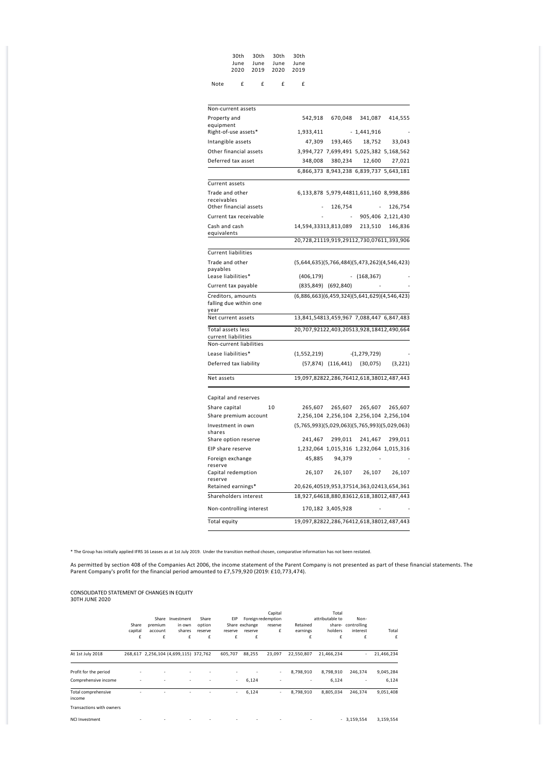|      |   |   | 30th 30th 30th 30th |   |
|------|---|---|---------------------|---|
|      |   |   | June June June June |   |
|      |   |   | 2020 2019 2020 2019 |   |
|      |   |   |                     |   |
| Note | f | £ | f                   | f |

| Non-current assets                             |                                                |                                         |                         |                   |
|------------------------------------------------|------------------------------------------------|-----------------------------------------|-------------------------|-------------------|
| Property and                                   | 542,918                                        | 670,048                                 | 341,087                 | 414,555           |
| equipment<br>Right-of-use assets*              | 1,933,411                                      |                                         | $-1,441,916$            |                   |
| Intangible assets                              |                                                | 47,309 193,465                          | 18,752                  | 33,043            |
| Other financial assets                         |                                                | 3,994,727 7,699,491 5,025,382 5,168,562 |                         |                   |
| Deferred tax asset                             | 348,008                                        | 380,234                                 | 12,600                  | 27,021            |
|                                                |                                                | 6,866,373 8,943,238 6,839,737 5,643,181 |                         |                   |
|                                                |                                                |                                         |                         |                   |
| Current assets                                 |                                                |                                         |                         |                   |
| Trade and other<br>receivables                 |                                                | 6,133,878 5,979,44811,611,160 8,998,886 |                         |                   |
| Other financial assets                         |                                                | 126,754                                 |                         | 126,754           |
| Current tax receivable                         |                                                |                                         |                         | 905,406 2,121,430 |
| Cash and cash                                  | 14,594,33313,813,089                           |                                         |                         | 213,510 146,836   |
| equivalents                                    |                                                |                                         |                         |                   |
|                                                | 20,728,21119,919,29112,730,07611,393,906       |                                         |                         |                   |
| <b>Current liabilities</b>                     |                                                |                                         |                         |                   |
| Trade and other                                | $(5,644,635)(5,766,484)(5,473,262)(4,546,423)$ |                                         |                         |                   |
| payables<br>Lease liabilities*                 | (406, 179)                                     |                                         | $- (168, 367)$          |                   |
| Current tax payable                            |                                                | (835,849) (692,840)                     |                         |                   |
| Creditors, amounts                             | (6,886,663)(6,459,324)(5,641,629)(4,546,423)   |                                         |                         |                   |
| falling due within one                         |                                                |                                         |                         |                   |
| year                                           |                                                |                                         |                         |                   |
| Net current assets                             | 13,841,54813,459,967 7,088,447 6,847,483       |                                         |                         |                   |
| Total assets less                              | 20,707,92122,403,20513,928,18412,490,664       |                                         |                         |                   |
| current liabilities<br>Non-current liabilities |                                                |                                         |                         |                   |
| Lease liabilities*                             | (1,552,219)                                    |                                         | $-(1,279,729)$          |                   |
| Deferred tax liability                         |                                                | $(57,874)$ $(116,441)$ $(30,075)$       |                         | (3,221)           |
|                                                |                                                |                                         |                         |                   |
| Net assets                                     | 19,097,82822,286,76412,618,38012,487,443       |                                         |                         |                   |
| Capital and reserves                           |                                                |                                         |                         |                   |
| Share capital<br>10                            | 265,607                                        |                                         | 265,607 265,607 265,607 |                   |
| Share premium account                          |                                                | 2,256,104 2,256,104 2,256,104 2,256,104 |                         |                   |
| Investment in own                              | $(5,765,993)(5,029,063)(5,765,993)(5,029,063)$ |                                         |                         |                   |
| shares                                         |                                                |                                         |                         |                   |
| Share option reserve                           | 241,467                                        |                                         | 299,011 241,467         | 299,011           |
| EIP share reserve                              |                                                | 1,232,064 1,015,316 1,232,064 1,015,316 |                         |                   |
| Foreign exchange<br>reserve                    | 45,885                                         | 94,379                                  |                         |                   |
| Capital redemption                             | 26,107                                         |                                         | 26,107 26,107           | 26,107            |
| reserve                                        |                                                |                                         |                         |                   |
| Retained earnings*                             | 20,626,40519,953,37514,363,02413,654,361       |                                         |                         |                   |
| Shareholders interest                          | 18,927,64618,880,83612,618,38012,487,443       |                                         |                         |                   |
| Non-controlling interest                       |                                                | 170,182 3,405,928                       |                         |                   |
| Total equity                                   | 19,097,82822,286,76412,618,38012,487,443       |                                         |                         |                   |

\* The Group has initially applied IFRS 16 Leases as at 1st July 2019. Under the transition method chosen, comparative information has not been restated.

As permitted by section 408 of the Companies Act 2006, the income statement of the Parent Company is not presented as part of these financial statements. The<br>Parent Company's profit for the financial period amounted to £7,

# CONSOLIDATED STATEMENT OF CHANGES IN EQUITY 30TH JUNE 2020

|                               | Share<br>capital | Share<br>premium<br>account | Investment<br>in own<br>shares        | Share<br>option<br>reserve | EIP<br>reserve | Share exchange<br>reserve | Capital<br>Foreign redemption<br>reserve<br>£ | Retained<br>earnings     | Total<br>attributable to<br>share-<br>holders | Non-<br>controlling<br>interest | Total      |
|-------------------------------|------------------|-----------------------------|---------------------------------------|----------------------------|----------------|---------------------------|-----------------------------------------------|--------------------------|-----------------------------------------------|---------------------------------|------------|
|                               | £                | £                           | £                                     | £                          | £              | £                         |                                               | £                        | £                                             | £                               | £          |
| At 1st July 2018              |                  |                             | 268,617 2,256,104 (4,699,115) 372,762 |                            | 605,707        | 88,255                    | 23,097                                        | 22,550,807               | 21,466,234                                    | ×.                              | 21,466,234 |
| Profit for the period         |                  |                             |                                       |                            |                |                           | ٠                                             | 8,798,910                | 8,798,910                                     | 246,374                         | 9,045,284  |
| Comprehensive income          |                  |                             | ۰                                     |                            | ٠              | 6,124                     | ۰                                             | $\overline{\phantom{a}}$ | 6,124                                         | ۰                               | 6,124      |
| Total comprehensive<br>income |                  |                             |                                       |                            | ٠              | 6,124                     | ×.                                            | 8,798,910                | 8,805,034                                     | 246.374                         | 9,051,408  |
| Transactions with owners      |                  |                             |                                       |                            |                |                           |                                               |                          |                                               |                                 |            |
| <b>NCI Investment</b>         |                  |                             |                                       |                            |                |                           |                                               |                          |                                               | $-3,159,554$                    | 3,159,554  |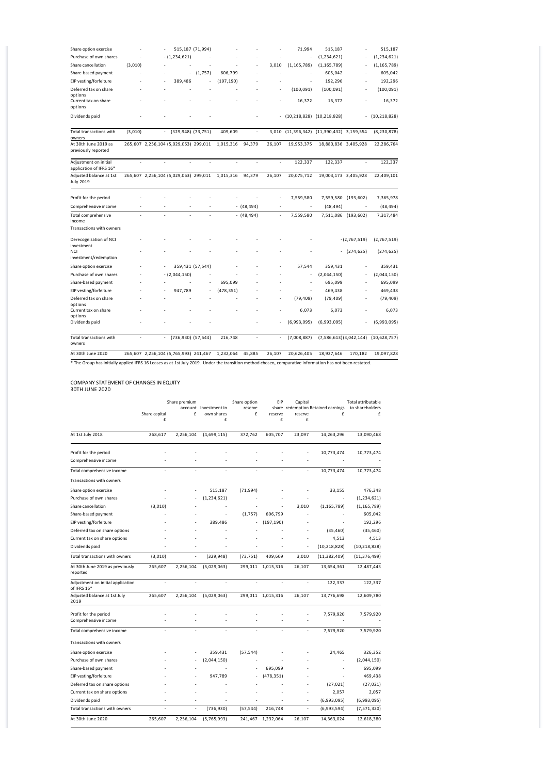| Share option exercise                                    |         |                          |                                       | 515,187 (71,994) |            |               |        | 71,994                        | 515,187                                   |                | 515,187              |
|----------------------------------------------------------|---------|--------------------------|---------------------------------------|------------------|------------|---------------|--------|-------------------------------|-------------------------------------------|----------------|----------------------|
| Purchase of own shares                                   |         |                          | $- (1,234,621)$                       |                  |            |               |        |                               | (1, 234, 621)                             |                | (1, 234, 621)        |
| Share cancellation                                       | (3,010) |                          |                                       |                  |            |               | 3,010  | (1, 165, 789)                 | (1, 165, 789)                             |                | (1, 165, 789)        |
| Share-based payment                                      |         |                          | ÷                                     | (1,757)          | 606,799    |               |        |                               | 605,042                                   |                | 605,042              |
| EIP vesting/forfeiture                                   |         |                          | 389,486                               |                  | (197, 190) |               |        | ÷,                            | 192,296                                   |                | 192,296              |
| Deferred tax on share<br>options<br>Current tax on share |         |                          |                                       |                  |            |               |        | (100, 091)<br>16,372          | (100, 091)<br>16,372                      | ä,             | (100, 091)<br>16,372 |
| options                                                  |         |                          |                                       |                  |            |               |        |                               |                                           |                |                      |
| Dividends paid                                           |         |                          |                                       |                  |            |               |        | $-$ (10,218,828) (10,218,828) |                                           | ÷.             | (10, 218, 828)       |
| <b>Total transactions with</b><br>owners                 | (3,010) | $\overline{\phantom{a}}$ | (329,948) (73,751)                    |                  | 409,609    | ÷.            |        |                               | 3,010 (11,396,342) (11,390,432) 3,159,554 |                | (8, 230, 878)        |
| At 30th June 2019 as<br>previously reported              |         |                          | 265,607 2,256,104 (5,029,063) 299,011 |                  | 1,015,316  | 94,379        | 26,107 | 19,953,375                    | 18,880,836 3,405,928                      |                | 22,286,764           |
| Adjustment on initial<br>application of IFRS 16*         |         |                          |                                       |                  |            |               |        | 122,337                       | 122,337                                   |                | 122,337              |
| Adjusted balance at 1st<br><b>July 2019</b>              |         |                          | 265,607 2,256,104 (5,029,063) 299,011 |                  | 1,015,316  | 94,379        | 26,107 | 20,075,712                    | 19,003,173 3,405,928                      |                | 22,409,101           |
| Profit for the period                                    |         |                          |                                       |                  |            |               |        | 7,559,580                     | 7,559,580                                 | (193, 602)     | 7,365,978            |
| Comprehensive income                                     | ÷.      |                          | ÷.                                    |                  |            | $- (48, 494)$ | ٠      | ÷                             | (48, 494)                                 | ż.             | (48, 494)            |
| Total comprehensive<br>income                            | L.      |                          |                                       |                  |            | $- (48, 494)$ |        | 7,559,580                     | 7,511,086                                 | (193, 602)     | 7,317,484            |
| Transactions with owners                                 |         |                          |                                       |                  |            |               |        |                               |                                           |                |                      |
| Derecognisation of NCI<br>investment                     |         |                          |                                       |                  |            |               |        |                               |                                           | $-(2,767,519)$ | (2,767,519)          |
| NCI<br>investment/redemption                             |         |                          |                                       |                  |            |               |        |                               |                                           | (274, 625)     | (274, 625)           |
| Share option exercise                                    |         |                          |                                       | 359,431 (57,544) |            |               |        | 57,544                        | 359,431                                   |                | 359,431              |
| Purchase of own shares                                   |         |                          | $-(2,044,150)$                        |                  |            |               |        | ä,                            | (2,044,150)                               |                | (2,044,150)          |
| Share-based payment                                      |         |                          |                                       |                  | 695,099    |               |        | ÷,                            | 695,099                                   |                | 695,099              |
| EIP vesting/forfeiture                                   |         |                          | 947,789                               |                  | (478, 351) |               |        | ä,                            | 469,438                                   |                | 469,438              |
| Deferred tax on share<br>options                         |         |                          |                                       |                  |            |               |        | (79, 409)                     | (79, 409)                                 |                | (79, 409)            |
| Current tax on share<br>options                          |         |                          |                                       |                  |            |               |        | 6,073                         | 6,073                                     |                | 6,073                |
| Dividends paid                                           |         |                          |                                       |                  |            |               |        | (6,993,095)                   | (6,993,095)                               |                | (6,993,095)          |
| <b>Total transactions with</b><br>owners                 | ä,      |                          | (736,930) (57,544)                    |                  | 216,748    | ä,            |        | (7,008,887)                   | (7,586,613)(3,042,144)                    |                | (10, 628, 757)       |
| At 30th June 2020                                        |         |                          | 265,607 2,256,104 (5,765,993) 241,467 |                  | 1,232,064  | 45,885        | 26,107 | 20,626,405                    | 18,927,646                                | 170,182        | 19,097,828           |

\* The Group has initially applied IFRS 16 Leases as at 1st July 2019. Under the transition method chosen, comparative information has not been restated.

# COMPANY STATEMENT OF CHANGES IN EQUITY

|                                                  | Share premium |           |                                     | Share option | EIP               | Capital        |                                         | Total attributable   |
|--------------------------------------------------|---------------|-----------|-------------------------------------|--------------|-------------------|----------------|-----------------------------------------|----------------------|
|                                                  | Share capital | £         | account Investment in<br>own shares | reserve<br>£ | reserve           | reserve        | share redemption Retained earnings<br>£ | to shareholders<br>£ |
|                                                  | £             |           | £                                   |              | £                 | £              |                                         |                      |
| At 1st July 2018                                 | 268,617       | 2,256,104 | (4,699,115)                         | 372,762      | 605,707           | 23,097         | 14,263,296                              | 13,090,468           |
| Profit for the period                            |               |           |                                     |              |                   |                | 10,773,474                              | 10,773,474           |
| Comprehensive income                             |               |           |                                     |              |                   |                |                                         |                      |
| Total comprehensive income                       |               | ÷,        | ä,                                  | ä,           |                   |                | 10,773,474                              | 10,773,474           |
| Transactions with owners                         |               |           |                                     |              |                   |                |                                         |                      |
| Share option exercise                            |               |           | 515,187                             | (71, 994)    |                   |                | 33,155                                  | 476,348              |
| Purchase of own shares                           |               |           | (1, 234, 621)                       |              |                   |                | ä,                                      | (1, 234, 621)        |
| Share cancellation                               | (3,010)       |           | ×,                                  |              |                   | 3,010          | (1, 165, 789)                           | (1, 165, 789)        |
| Share-based payment                              |               |           | ÷                                   | (1,757)      | 606,799           |                |                                         | 605,042              |
| EIP vesting/forfeiture                           |               |           | 389,486                             |              | (197, 190)        |                |                                         | 192,296              |
| Deferred tax on share options                    |               |           |                                     |              |                   |                | (35, 460)                               | (35, 460)            |
| Current tax on share options                     |               |           |                                     |              |                   |                | 4,513                                   | 4,513                |
| Dividends paid                                   |               |           |                                     |              |                   | ÷,             | (10, 218, 828)                          | (10, 218, 828)       |
| Total transactions with owners                   | (3,010)       | ÷,        | (329, 948)                          | (73, 751)    | 409,609           | 3,010          | (11, 382, 409)                          | (11, 376, 499)       |
| At 30th June 2019 as previously<br>reported      | 265,607       | 2,256,104 | (5,029,063)                         |              | 299,011 1,015,316 | 26,107         | 13,654,361                              | 12,487,443           |
| Adjustment on initial application<br>of IFRS 16* | ä,            | ä,        | ä,                                  | ä,           | ä,                | $\overline{a}$ | 122,337                                 | 122,337              |
| Adjusted balance at 1st July<br>2019             | 265,607       | 2,256,104 | (5,029,063)                         |              | 299,011 1,015,316 | 26,107         | 13,776,698                              | 12,609,780           |
| Profit for the period                            |               |           |                                     |              |                   |                | 7,579,920                               | 7,579,920            |
| Comprehensive income                             |               |           |                                     |              |                   |                |                                         |                      |
| Total comprehensive income                       | ÷             | ÷.        | ÷                                   | ÷.           | ÷.                | $\overline{a}$ | 7,579,920                               | 7,579,920            |
| Transactions with owners                         |               |           |                                     |              |                   |                |                                         |                      |
| Share option exercise                            |               |           | 359,431                             | (57, 544)    |                   |                | 24,465                                  | 326,352              |
| Purchase of own shares                           |               |           | (2,044,150)                         |              |                   |                |                                         | (2,044,150)          |
| Share-based payment                              |               |           |                                     |              | 695,099           |                |                                         | 695,099              |
| EIP vesting/forfeiture                           |               |           | 947,789                             |              | (478, 351)        |                | ä,                                      | 469,438              |
| Deferred tax on share options                    |               |           |                                     |              |                   |                | (27, 021)                               | (27, 021)            |
| Current tax on share options                     |               |           |                                     |              |                   |                | 2,057                                   | 2,057                |
| Dividends paid                                   |               |           |                                     |              |                   | ÷              | (6,993,095)                             | (6,993,095)          |
| Total transactions with owners                   |               | ÷,        | (736, 930)                          | (57, 544)    | 216,748           | ÷,             | (6,993,594)                             | (7, 571, 320)        |
| At 30th June 2020                                | 265,607       | 2,256,104 | (5,765,993)                         | 241,467      | 1,232,064         | 26,107         | 14,363,024                              | 12,618,380           |
|                                                  |               |           |                                     |              |                   |                |                                         |                      |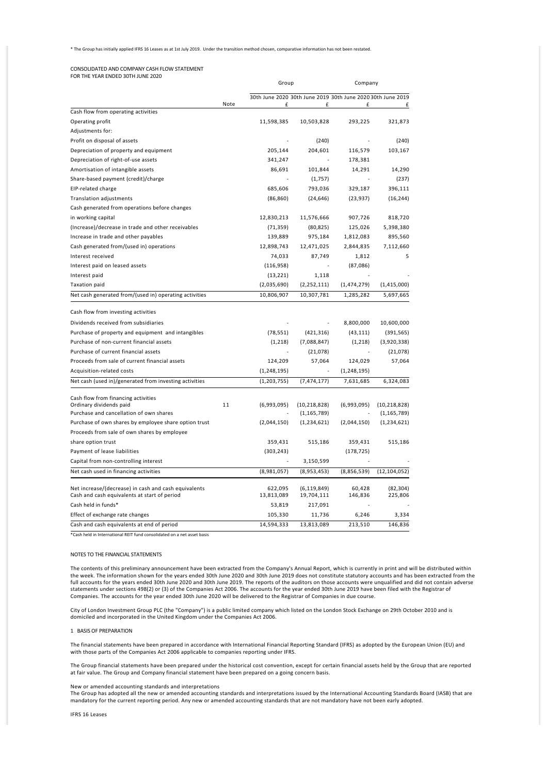### \* The Group has initially applied IFRS 16 Leases as at 1st July 2019. Under the transition method chosen, comparative information has not been restated.

# CONSOLIDATED AND COMPANY CASH FLOW STATEMENT FOR THE YEAR ENDED 30TH JUNE 2020

|                                                                    |      | Group         |                | Company                                                     |                |  |
|--------------------------------------------------------------------|------|---------------|----------------|-------------------------------------------------------------|----------------|--|
|                                                                    |      |               |                | 30th June 2020 30th June 2019 30th June 2020 30th June 2019 |                |  |
|                                                                    | Note | £             | £              | £                                                           | £              |  |
| Cash flow from operating activities                                |      |               |                |                                                             |                |  |
| Operating profit                                                   |      | 11,598,385    | 10,503,828     | 293,225                                                     | 321,873        |  |
| Adjustments for:                                                   |      |               |                |                                                             |                |  |
| Profit on disposal of assets                                       |      |               | (240)          |                                                             | (240)          |  |
| Depreciation of property and equipment                             |      | 205,144       | 204,601        | 116,579                                                     | 103,167        |  |
| Depreciation of right-of-use assets                                |      | 341,247       |                | 178,381                                                     |                |  |
| Amortisation of intangible assets                                  |      | 86,691        | 101,844        | 14,291                                                      | 14,290         |  |
| Share-based payment (credit)/charge                                |      |               | (1,757)        |                                                             | (237)          |  |
| EIP-related charge                                                 |      | 685,606       | 793,036        | 329,187                                                     | 396,111        |  |
| Translation adjustments                                            |      | (86, 860)     | (24, 646)      | (23, 937)                                                   | (16, 244)      |  |
| Cash generated from operations before changes                      |      |               |                |                                                             |                |  |
| in working capital                                                 |      | 12,830,213    | 11,576,666     | 907,726                                                     | 818,720        |  |
| (Increase)/decrease in trade and other receivables                 |      | (71, 359)     | (80, 825)      | 125,026                                                     | 5,398,380      |  |
| Increase in trade and other payables                               |      | 139,889       | 975,184        | 1,812,083                                                   | 895,560        |  |
| Cash generated from/(used in) operations                           |      | 12,898,743    | 12,471,025     | 2,844,835                                                   | 7,112,660      |  |
| Interest received                                                  |      | 74,033        | 87,749         | 1,812                                                       | 5              |  |
| Interest paid on leased assets                                     |      | (116, 958)    |                | (87,086)                                                    |                |  |
| Interest paid                                                      |      | (13, 221)     | 1,118          |                                                             |                |  |
| <b>Taxation paid</b>                                               |      | (2,035,690)   | (2, 252, 111)  | (1,474,279)                                                 | (1,415,000)    |  |
| Net cash generated from/(used in) operating activities             |      | 10,806,907    | 10,307,781     | 1,285,282                                                   | 5,697,665      |  |
| Cash flow from investing activities                                |      |               |                |                                                             |                |  |
| Dividends received from subsidiaries                               |      |               |                | 8,800,000                                                   | 10,600,000     |  |
|                                                                    |      |               |                |                                                             |                |  |
| Purchase of property and equipment and intangibles                 |      | (78, 551)     | (421, 316)     | (43, 111)                                                   | (391, 565)     |  |
| Purchase of non-current financial assets                           |      | (1, 218)      | (7,088,847)    | (1, 218)                                                    | (3,920,338)    |  |
| Purchase of current financial assets                               |      |               | (21,078)       |                                                             | (21,078)       |  |
| Proceeds from sale of current financial assets                     |      | 124,209       | 57,064         | 124,029                                                     | 57,064         |  |
| Acquisition-related costs                                          |      | (1, 248, 195) | ä,             | (1, 248, 195)                                               |                |  |
| Net cash (used in)/generated from investing activities             |      | (1, 203, 755) | (7, 474, 177)  | 7,631,685                                                   | 6,324,083      |  |
| Cash flow from financing activities                                |      |               |                |                                                             |                |  |
| Ordinary dividends paid<br>Purchase and cancellation of own shares | 11   | (6,993,095)   | (10, 218, 828) | (6,993,095)                                                 | (10, 218, 828) |  |
|                                                                    |      |               | (1, 165, 789)  |                                                             | (1, 165, 789)  |  |
| Purchase of own shares by employee share option trust              |      | (2,044,150)   | (1, 234, 621)  | (2,044,150)                                                 | (1, 234, 621)  |  |
| Proceeds from sale of own shares by employee                       |      |               |                |                                                             |                |  |
| share option trust                                                 |      | 359,431       | 515,186        | 359,431                                                     | 515,186        |  |
| Payment of lease liabilities                                       |      | (303, 243)    |                | (178, 725)                                                  |                |  |
| Capital from non-controlling interest                              |      |               | 3,150,599      |                                                             |                |  |
| Net cash used in financing activities                              |      | (8,981,057)   | (8,953,453)    | (8,856,539)                                                 | (12, 104, 052) |  |
| Net increase/(decrease) in cash and cash equivalents               |      | 622,095       | (6, 119, 849)  | 60,428                                                      | (82, 304)      |  |
| Cash and cash equivalents at start of period                       |      | 13,813,089    | 19,704,111     | 146,836                                                     | 225,806        |  |
| Cash held in funds*                                                |      | 53,819        | 217,091        |                                                             |                |  |
| Effect of exchange rate changes                                    |      | 105,330       | 11,736         | 6,246                                                       | 3,334          |  |
| Cash and cash equivalents at end of period                         |      | 14,594,333    | 13,813,089     | 213,510                                                     | 146,836        |  |

\*Cash held in International REIT fund consolidated on a net asset basis

### NOTES TO THE FINANCIAL STATEMENTS

The contents of this preliminary announcement have been extracted from the Company's Annual Report, which is currently in print and will be distributed within the week. The information shown for the years ended 30th June 2020 and 30th June 2019 does not constitute statutory accounts and has been extracted from the full accounts for the years ended 30th June 2020 and 30th June 2019. The reports of the auditors on those accounts were unqualified and did not contain adverse statements under sections 498(2) or (3) of the Companies Act 2006. The accounts for the year ended 30th June 2019 have been filed with the Registrar of Companies. The accounts for the year ended 30th June 2020 will be delivered to the Registrar of Companies in due course.

City of London Investment Group PLC (the "Company") is a public limited company which listed on the London Stock Exchange on 29th October 2010 and is<br>domiciled and incorporated in the United Kingdom under the Companies Act

1 BASIS OF PREPARATION

The financial statements have been prepared in accordance with International Financial Reporting Standard (IFRS) as adopted by the European Union (EU) and with those parts of the Companies Act 2006 applicable to companies reporting under IFRS.

The Group financial statements have been prepared under the historical cost convention, except for certain financial assets held by the Group that are reported at fair value. The Group and Company financial statement have been prepared on a going concern basis.

### New or amended accounting standards and interpretations

The Group has adopted all the new or amended accounting standards and interpretations issued by the International Accounting Standards Board (IASB) that are mandatory for the current reporting period. Any new or amended accounting standards that are not mandatory have not been early adopted.

IFRS 16 Leases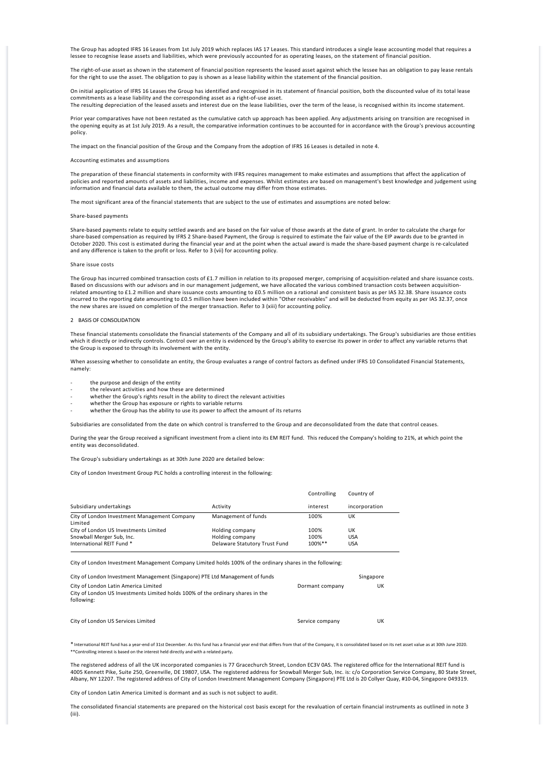The Group has adopted IFRS 16 Leases from 1st July 2019 which replaces IAS 17 Leases. This standard introduces a single lease accounting model that requires a lessee to recognise lease assets and liabilities, which were previously accounted for as operating leases, on the statement of financial position.

The right-of-use asset as shown in the statement of financial position represents the leased asset against which the lessee has an obligation to pay lease rentals for the right to use the asset. The obligation to pay is shown as a lease liability within the statement of the financial position.

On initial application of IFRS 16 Leases the Group has identified and recognised in its statement of financial position, both the discounted value of its total lease commitments as a lease liability and the corresponding asset as a right‐of‐use asset.

The resulting depreciation of the leased assets and interest due on the lease liabilities, over the term of the lease, is recognised within its income statement.

Prior year comparatives have not been restated as the cumulative catch up approach has been applied. Any adjustments arising on transition are recognised in the opening equity as at 1st July 2019. As a result, the comparative information continues to be accounted for in accordance with the Group's previous accounting policy.

The impact on the financial position of the Group and the Company from the adoption of IFRS 16 Leases is detailed in note 4.

#### Accounting estimates and assumptions

The preparation of these financial statements in conformity with IFRS requires management to make estimates and assumptions that affect the application of policies and reported amounts of assets and liabilities, income and expenses. Whilst estimates are based on management's best knowledge and judgement using information and financial data available to them, the actual outcome may differ from those estimates.

The most significant area of the financial statements that are subject to the use of estimates and assumptions are noted below:

### Share‐based payments

Share‐based payments relate to equity settled awards and are based on the fair value of those awards at the date of grant. In order to calculate the charge for share‐based compensation as required by IFRS 2 Share‐based Payment, the Group is required to estimate the fair value of the EIP awards due to be granted in October 2020. This cost is estimated during the financial year and at the point when the actual award is made the share‐based payment charge is re‐calculated and any difference is taken to the profit or loss. Refer to 3 (vii) for accounting policy.

### Share issue costs

The Group has incurred combined transaction costs of £1.7 million in relation to its proposed merger, comprising of acquisition-related and share issuance costs. Based on discussions with our advisors and in our management judgement, we have allocated the various combined transaction costs between acquisition-<br>related amounting to £1.2 million and share issuance costs amounting to incurred to the reporting date amounting to £0.5 million have been included within "Other receivables" and will be deducted from equity as per IAS 32.37, once the new shares are issued on completion of the merger transaction. Refer to 3 (xiii) for accounting policy.

#### 2 BASIS OF CONSOLIDATION

These financial statements consolidate the financial statements of the Company and all of its subsidiary undertakings. The Group's subsidiaries are those entities which it directly or indirectly controls. Control over an entity is evidenced by the Group's ability to exercise its power in order to affect any variable returns that the Group is exposed to through its involvement with the entity.

When assessing whether to consolidate an entity, the Group evaluates a range of control factors as defined under IFRS 10 Consolidated Financial Statements, namely:

- the purpose and design of the entity
- the relevant activities and how these are determined
- whether the Group's rights result in the ability to direct the relevant activities
- whether the Group has exposure or rights to variable returns
- whether the Group has the ability to use its power to affect the amount of its returns

Subsidiaries are consolidated from the date on which control is transferred to the Group and are deconsolidated from the date that control ceases.

During the year the Group received a significant investment from a client into its EM REIT fund. This reduced the Company's holding to 21%, at which point the entity was deconsolidated.

The Group's subsidiary undertakings as at 30th June 2020 are detailed below:

City of London Investment Group PLC holds a controlling interest in the following:

|                                                         |                               | Controlling | Country of    |
|---------------------------------------------------------|-------------------------------|-------------|---------------|
| Subsidiary undertakings                                 | Activity                      | interest    | incorporation |
| City of London Investment Management Company<br>Limited | Management of funds           | 100%        | UK            |
| City of London US Investments Limited                   | Holding company               | 100%        | UK            |
| Snowball Merger Sub, Inc.                               | Holding company               | 100%        | <b>USA</b>    |
| International REIT Fund *                               | Delaware Statutory Trust Fund | $100\%$ **  | <b>USA</b>    |

City of London Investment Management Company Limited holds 100% of the ordinary shares in the following:

| City of London Investment Management (Singapore) PTE Ltd Management of funds                                                         |                 | Singapore |
|--------------------------------------------------------------------------------------------------------------------------------------|-----------------|-----------|
| City of London Latin America Limited<br>City of London US Investments Limited holds 100% of the ordinary shares in the<br>following: | Dormant company | UK        |

City of London US Services Limited **Services Limited** Service company UK

\* International REIT fund has a year‐end of 31st December. As this fund has a financial year end that differs from that of the Company, it is consolidated based on its net asset value as at 30th June 2020. \*\*Controlling interest is based on the interest held directly and with a related party.

The registered address of all the UK incorporated companies is 77 Gracechurch Street, London EC3V 0AS. The registered office for the International REIT fund is 4005 Kennett Pike, Suite 250, Greenville, DE 19807, USA. The registered address for Snowball Merger Sub, Inc. is: c/o Corporation Service Company, 80 State Street,<br>Albany, NY 12207. The registered address of City of London

City of London Latin America Limited is dormant and as such is not subject to audit.

The consolidated financial statements are prepared on the historical cost basis except for the revaluation of certain financial instruments as outlined in note 3 (iii).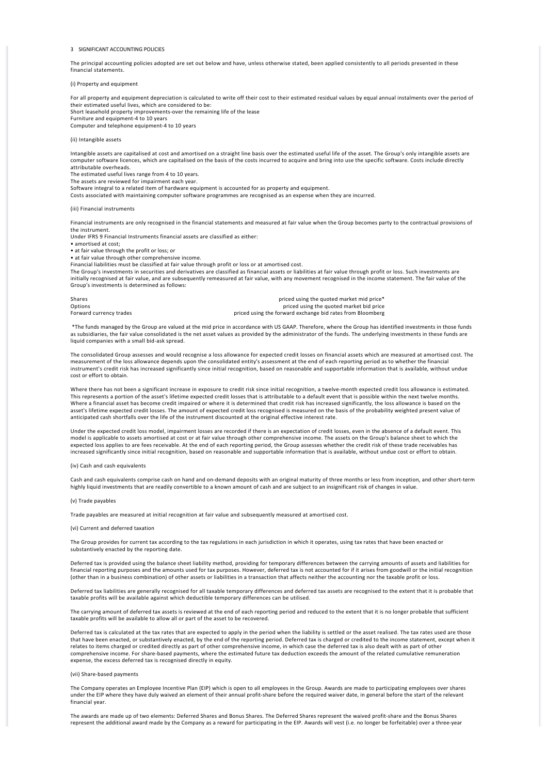### 3 SIGNIFICANT ACCOUNTING POLICIES

The principal accounting policies adopted are set out below and have, unless otherwise stated, been applied consistently to all periods presented in these financial statements.

(i) Property and equipment

For all property and equipment depreciation is calculated to write off their cost to their estimated residual values by equal annual instalments over the period of their estimated useful lives, which are considered to be: Short leasehold property improvements‐over the remaining life of the lease Furniture and equipment‐4 to 10 years

Computer and telephone equipment‐4 to 10 years

### (ii) Intangible assets

Intangible assets are capitalised at cost and amortised on a straight line basis over the estimated useful life of the asset. The Group's only intangible assets are computer software licences, which are capitalised on the basis of the costs incurred to acquire and bring into use the specific software. Costs include directly attributable overheads.

The estimated useful lives range from 4 to 10 years.

The assets are reviewed for impairment each year.

Software integral to a related item of hardware equipment is accounted for as property and equipment.

Costs associated with maintaining computer software programmes are recognised as an expense when they are incurred.

(iii) Financial instruments

Financial instruments are only recognised in the financial statements and measured at fair value when the Group becomes party to the contractual provisions of the instrument.

Under IFRS 9 Financial Instruments financial assets are classified as either:

• amortised at cost;

• at fair value through the profit or loss; or

• at fair value through other comprehensive income.

Financial liabilities must be classified at fair value through profit or loss or at amortised cost.

The Group's investments in securities and derivatives are classified as financial assets or liabilities at fair value through profit or loss. Such investments are initially recognised at fair value, and are subsequently remeasured at fair value, with any movement recognised in the income statement. The fair value of the Group's investments is determined as follows:

Shares **Shares** priced using the quoted market mid price\*<br> **Shares** priced using the quoted market bid price Options<br>
Options priced using the quoted market bid price<br>
Forward currency trades priced using the forward exchange bid rates from Bloomberg

 \*The funds managed by the Group are valued at the mid price in accordance with US GAAP. Therefore, where the Group has identified investments in those funds as subsidiaries, the fair value consolidated is the net asset values as provided by the administrator of the funds. The underlying investments in these funds are liquid companies with a small bid‐ask spread.

The consolidated Group assesses and would recognise a loss allowance for expected credit losses on financial assets which are measured at amortised cost. The measurement of the loss allowance depends upon the consolidated entity's assessment at the end of each reporting period as to whether the financial instrument's credit risk has increased significantly since initial recognition, based on reasonable and supportable information that is available, without undue cost or effort to obtain.

Where there has not been a significant increase in exposure to credit risk since initial recognition, a twelve-month expected credit loss allowance is estimated. This represents a portion of the asset's lifetime expected credit losses that is attributable to a default event that is possible within the next twelve months. Where a financial asset has become credit impaired or where it is determined that credit risk has increased significantly, the loss allowance is based on the asset's lifetime expected credit losses. The amount of expected credit loss recognised is measured on the basis of the probability weighted present value of anticipated cash shortfalls over the life of the instrument discounted at the original effective interest rate.

Under the expected credit loss model, impairment losses are recorded if there is an expectation of credit losses, even in the absence of a default event. This model is applicable to assets amortised at cost or at fair value through other comprehensive income. The assets on the Group's balance sheet to which the expected loss applies to are fees receivable. At the end of each reporting period, the Group assesses whether the credit risk of these trade receivables has increased significantly since initial recognition, based on reasonable and supportable information that is available, without undue cost or effort to obtain.

### (iv) Cash and cash equivalents

Cash and cash equivalents comprise cash on hand and on‐demand deposits with an original maturity of three months or less from inception, and other short‐term highly liquid investments that are readily convertible to a known amount of cash and are subject to an insignificant risk of changes in value.

### (v) Trade payables

Trade payables are measured at initial recognition at fair value and subsequently measured at amortised cost.

### (vi) Current and deferred taxation

The Group provides for current tax according to the tax regulations in each jurisdiction in which it operates, using tax rates that have been enacted or substantively enacted by the reporting date.

Deferred tax is provided using the balance sheet liability method, providing for temporary differences between the carrying amounts of assets and liabilities for financial reporting purposes and the amounts used for tax purposes. However, deferred tax is not accounted for if it arises from goodwill or the initial recognition (other than in a business combination) of other assets or liabilities in a transaction that affects neither the accounting nor the taxable profit or loss.

Deferred tax liabilities are generally recognised for all taxable temporary differences and deferred tax assets are recognised to the extent that it is probable that taxable profits will be available against which deductible temporary differences can be utilised.

The carrying amount of deferred tax assets is reviewed at the end of each reporting period and reduced to the extent that it is no longer probable that sufficient taxable profits will be available to allow all or part of the asset to be recovered.

Deferred tax is calculated at the tax rates that are expected to apply in the period when the liability is settled or the asset realised. The tax rates used are those that have been enacted, or substantively enacted, by the end of the reporting period. Deferred tax is charged or credited to the income statement, except when it relates to items charged or credited directly as part of other comprehensive income, in which case the deferred tax is also dealt with as part of other comprehensive income. For share‐based payments, where the estimated future tax deduction exceeds the amount of the related cumulative remuneration expense, the excess deferred tax is recognised directly in equity.

#### (vii) Share‐based payments

The Company operates an Employee Incentive Plan (EIP) which is open to all employees in the Group. Awards are made to participating employees over shares under the EIP where they have duly waived an element of their annual profit‐share before the required waiver date, in general before the start of the relevant financial year.

The awards are made up of two elements: Deferred Shares and Bonus Shares. The Deferred Shares represent the waived profit‐share and the Bonus Shares represent the additional award made by the Company as a reward for participating in the EIP. Awards will vest (i.e. no longer be forfeitable) over a three‐year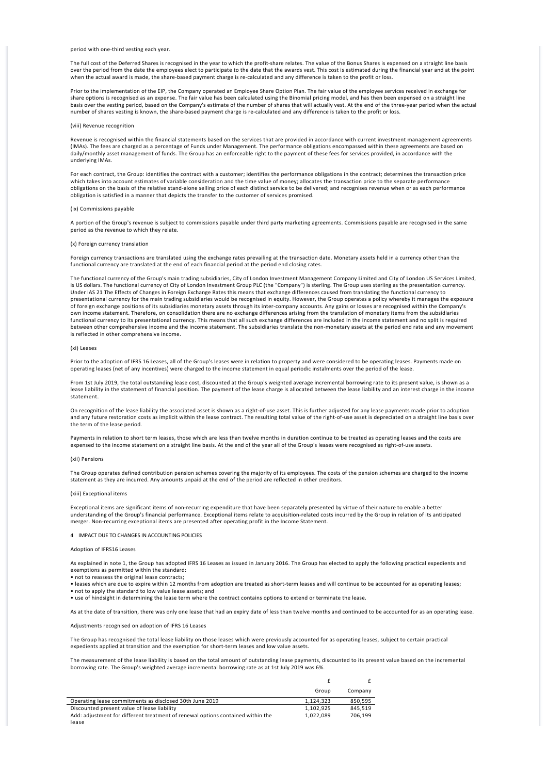period with one‐third vesting each year.

The full cost of the Deferred Shares is recognised in the year to which the profit-share relates. The value of the Bonus Shares is expensed on a straight line basis over the period from the date the employees elect to participate to the date that the awards vest. This cost is estimated during the financial year and at the point when the actual award is made, the share‐based payment charge is re‐calculated and any difference is taken to the profit or loss.

Prior to the implementation of the EIP, the Company operated an Employee Share Option Plan. The fair value of the employee services received in exchange for share options is recognised as an expense. The fair value has been calculated using the Binomial pricing model, and has then been expensed on a straight line basis over the vesting period, based on the Company's estimate of the number of shares that will actually vest. At the end of the three‐year period when the actual number of shares vesting is known, the share‐based payment charge is re‐calculated and any difference is taken to the profit or loss.

### (viii) Revenue recognition

Revenue is recognised within the financial statements based on the services that are provided in accordance with current investment management agreements (IMAs). The fees are charged as a percentage of Funds under Management. The performance obligations encompassed within these agreements are based on daily/monthly asset management of funds. The Group has an enforceable right to the payment of these fees for services provided, in accordance with the underlying IMAs.

For each contract, the Group: identifies the contract with a customer; identifies the performance obligations in the contract; determines the transaction price which takes into account estimates of variable consideration and the time value of money; allocates the transaction price to the separate performance obligations on the basis of the relative stand‐alone selling price of each distinct service to be delivered; and recognises revenue when or as each performance obligation is satisfied in a manner that depicts the transfer to the customer of services promised.

#### (ix) Commissions payable

A portion of the Group's revenue is subject to commissions payable under third party marketing agreements. Commissions payable are recognised in the same period as the revenue to which they relate.

#### (x) Foreign currency translation

Foreign currency transactions are translated using the exchange rates prevailing at the transaction date. Monetary assets held in a currency other than the functional currency are translated at the end of each financial period at the period end closing rates.

The functional currency of the Group's main trading subsidiaries, City of London Investment Management Company Limited and City of London US Services Limited, is US dollars. The functional currency of City of London Investment Group PLC (the "Company") is sterling. The Group uses sterling as the presentation currency.<br>Under IAS 21 The Effects of Changes in Foreign Exchange Rates presentational currency for the main trading subsidiaries would be recognised in equity. However, the Group operates a policy whereby it manages the exposure of foreign exchange positions of its subsidiaries monetary assets through its inter‐company accounts. Any gains or losses are recognised within the Company's own income statement. Therefore, on consolidation there are no exchange differences arising from the translation of monetary items from the subsidiaries functional currency to its presentational currency. This means that all such exchange differences are included in the income statement and no split is required between other comprehensive income and the income statement. The subsidiaries translate the non-monetary assets at the period end rate and any movement is reflected in other comprehensive income.

### (xi) Leases

Prior to the adoption of IFRS 16 Leases, all of the Group's leases were in relation to property and were considered to be operating leases. Payments made on operating leases (net of any incentives) were charged to the income statement in equal periodic instalments over the period of the lease.

From 1st July 2019, the total outstanding lease cost, discounted at the Group's weighted average incremental borrowing rate to its present value, is shown as a lease liability in the statement of financial position. The payment of the lease charge is allocated between the lease liability and an interest charge in the income statement.

On recognition of the lease liability the associated asset is shown as a right‐of‐use asset. This is further adjusted for any lease payments made prior to adoption and any future restoration costs as implicit within the lease contract. The resulting total value of the right-of-use asset is depreciated on a straight line basis over the term of the lease period.

Payments in relation to short term leases, those which are less than twelve months in duration continue to be treated as operating leases and the costs are expensed to the income statement on a straight line basis. At the end of the year all of the Group's leases were recognised as right‐of‐use assets.

### (xii) Pensions

The Group operates defined contribution pension schemes covering the majority of its employees. The costs of the pension schemes are charged to the income statement as they are incurred. Any amounts unpaid at the end of the period are reflected in other creditors.

#### (xiii) Exceptional items

Exceptional items are significant items of non‐recurring expenditure that have been separately presented by virtue of their nature to enable a better understanding of the Group's financial performance. Exceptional items relate to acquisition‐related costs incurred by the Group in relation of its anticipated merger. Non-recurring exceptional items are presented after operating profit in the Income Statement.

4 IMPACT DUE TO CHANGES IN ACCOUNTING POLICIES

### Adoption of IFRS16 Leases

As explained in note 1, the Group has adopted IFRS 16 Leases as issued in January 2016. The Group has elected to apply the following practical expedients and exemptions as permitted within the standard:

• not to reassess the original lease contracts;

• leases which are due to expire within 12 months from adoption are treated as short-term leases and will continue to be accounted for as operating leases; • not to apply the standard to low value lease assets; and

• use of hindsight in determining the lease term where the contract contains options to extend or terminate the lease.

As at the date of transition, there was only one lease that had an expiry date of less than twelve months and continued to be accounted for as an operating lease.

Adjustments recognised on adoption of IFRS 16 Leases

The Group has recognised the total lease liability on those leases which were previously accounted for as operating leases, subject to certain practical expedients applied at transition and the exemption for short-term leases and low value assets.

The measurement of the lease liability is based on the total amount of outstanding lease payments, discounted to its present value based on the incremental borrowing rate. The Group's weighted average incremental borrowing rate as at 1st July 2019 was 6%.

|                                                                                 | Group     | Company |
|---------------------------------------------------------------------------------|-----------|---------|
| Operating lease commitments as disclosed 30th June 2019                         | 1.124.323 | 850,595 |
| Discounted present value of lease liability                                     | 1.102.925 | 845.519 |
| Add: adjustment for different treatment of renewal options contained within the | 1.022.089 | 706.199 |
| lease                                                                           |           |         |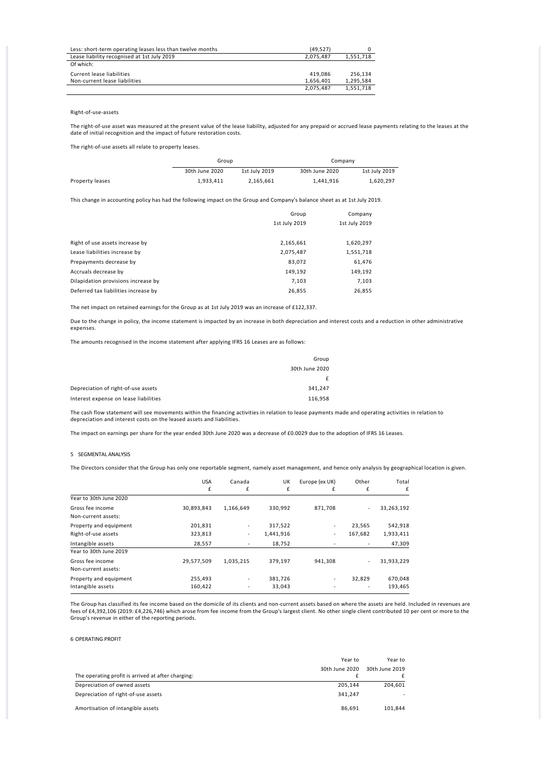| Less: short-term operating leases less than twelve months | (49.527)  |           |
|-----------------------------------------------------------|-----------|-----------|
| Lease liability recognised at 1st July 2019               | 2.075.487 | 1,551,718 |
| Of which:                                                 |           |           |
| Current lease liabilities                                 | 419.086   | 256.134   |
| Non-current lease liabilities                             | 1.656.401 | 1,295,584 |
|                                                           | 2,075,487 | 1,551,718 |

### Right‐of‐use‐assets

The right-of-use asset was measured at the present value of the lease liability, adjusted for any prepaid or accrued lease payments relating to the leases at the date of initial recognition and the impact of future restoration costs.

The right‐of‐use assets all relate to property leases.

|                 | Group          |               | Company        |               |
|-----------------|----------------|---------------|----------------|---------------|
|                 | 30th June 2020 | 1st July 2019 | 30th June 2020 | 1st July 2019 |
| Property leases | 1.933.411      | 2.165.661     | 1,441,916      | 1.620.297     |

This change in accounting policy has had the following impact on the Group and Company's balance sheet as at 1st July 2019.

|                                      | Group         | Company       |
|--------------------------------------|---------------|---------------|
|                                      | 1st July 2019 | 1st July 2019 |
|                                      |               |               |
| Right of use assets increase by      | 2,165,661     | 1,620,297     |
| Lease liabilities increase by        | 2,075,487     | 1,551,718     |
| Prepayments decrease by              | 83,072        | 61,476        |
| Accruals decrease by                 | 149,192       | 149,192       |
| Dilapidation provisions increase by  | 7,103         | 7,103         |
| Deferred tax liabilities increase by | 26,855        | 26,855        |

The net impact on retained earnings for the Group as at 1st July 2019 was an increase of £122,337.

Due to the change in policy, the income statement is impacted by an increase in both depreciation and interest costs and a reduction in other administrative expenses.

The amounts recognised in the income statement after applying IFRS 16 Leases are as follows:

|                                       | Group          |
|---------------------------------------|----------------|
|                                       | 30th June 2020 |
|                                       |                |
| Depreciation of right-of-use assets   | 341,247        |
| Interest expense on lease liabilities | 116,958        |

The cash flow statement will see movements within the financing activities in relation to lease payments made and operating activities in relation to depreciation and interest costs on the leased assets and liabilities.

The impact on earnings per share for the year ended 30th June 2020 was a decrease of £0.0029 due to the adoption of IFRS 16 Leases.

### 5 SEGMENTAL ANALYSIS

The Directors consider that the Group has only one reportable segment, namely asset management, and hence only analysis by geographical location is given.

|                                               | <b>USA</b><br>£    | Canada<br>£ | UK<br>£              | Europe (ex UK)<br>£           | Other<br>£               | Total<br>£           |
|-----------------------------------------------|--------------------|-------------|----------------------|-------------------------------|--------------------------|----------------------|
| Year to 30th June 2020                        |                    |             |                      |                               |                          |                      |
| Gross fee income<br>Non-current assets:       | 30,893,843         | 1,166,649   | 330,992              | 871,708                       | $\overline{\phantom{a}}$ | 33,263,192           |
| Property and equipment<br>Right-of-use assets | 201,831<br>323,813 | ٠<br>۰      | 317,522<br>1,441,916 | $\overline{\phantom{a}}$<br>۰ | 23,565<br>167,682        | 542,918<br>1,933,411 |
| Intangible assets<br>Year to 30th June 2019   | 28.557             |             | 18.752               |                               |                          | 47,309               |
| Gross fee income<br>Non-current assets:       | 29,577,509         | 1,035,215   | 379,197              | 941,308                       | $\overline{\phantom{a}}$ | 31,933,229           |
| Property and equipment<br>Intangible assets   | 255,493<br>160,422 | ۰<br>٠      | 381,726<br>33,043    | ٠                             | 32,829<br>٠              | 670,048<br>193,465   |

The Group has classified its fee income based on the domicile of its clients and non-current assets based on where the assets are held. Included in revenues are fees of £4,392,106 (2019: £4,226,746) which arose from fee income from the Group's largest client. No other single client contributed 10 per cent or more to the Group's revenue in either of the reporting periods.

### 6 OPERATING PROFIT

|                                                    | Year to        | Year to        |
|----------------------------------------------------|----------------|----------------|
| The operating profit is arrived at after charging: | 30th June 2020 | 30th June 2019 |
| Depreciation of owned assets                       | 205.144        | 204.601        |
| Depreciation of right-of-use assets                | 341.247        | ۰              |
| Amortisation of intangible assets                  | 86.691         | 101,844        |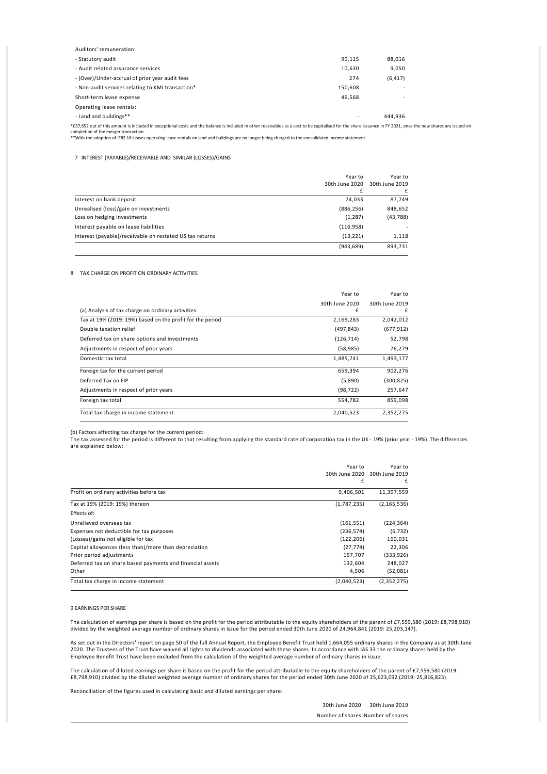| Auditors' remuneration:                           |                          |          |  |
|---------------------------------------------------|--------------------------|----------|--|
| - Statutory audit                                 | 90.115                   | 88,016   |  |
| - Audit related assurance services                | 10,630                   | 9,050    |  |
| - (Over)/Under-accrual of prior year audit fees   | 274                      | (6, 417) |  |
| - Non-audit services relating to KMI transaction* | 150,608                  | <b>.</b> |  |
| Short-term lease expense                          | 46.568                   | <b>.</b> |  |
| Operating lease rentals:                          |                          |          |  |
| - Land and buildings**                            | $\overline{\phantom{a}}$ | 444.936  |  |
|                                                   |                          |          |  |

\*£37,652 out of this amount is included in exceptional costs and the balance is included in other receivables as a cost to be capitalised for the share issuance in FY 2021, once the new shares are issued on

completion of the merger transaction. \*\*With the adoption of IFRS 16 Leases operating lease rentals on land and buildings are no longer being charged to the consolidated income statement.

## 7 INTEREST (PAYABLE)/RECEIVABLE AND SIMILAR (LOSSES)/GAINS

|                                                          | Year to<br>30th June 2020 | Year to<br>30th June 2019 |
|----------------------------------------------------------|---------------------------|---------------------------|
|                                                          | £                         |                           |
| Interest on bank deposit                                 | 74.033                    | 87,749                    |
| Unrealised (loss)/gain on investments                    | (886, 256)                | 848,652                   |
| Loss on hedging investments                              | (1, 287)                  | (43, 788)                 |
| Interest payable on lease liabilities                    | (116, 958)                |                           |
| Interest (payable)/receivable on restated US tax returns | (13, 221)                 | 1,118                     |
|                                                          | (943, 689)                | 893.731                   |

# 8 TAX CHARGE ON PROFIT ON ORDINARY ACTIVITIES

|                                                           | Year to        | Year to        |
|-----------------------------------------------------------|----------------|----------------|
|                                                           | 30th June 2020 | 30th June 2019 |
| (a) Analysis of tax charge on ordinary activities:        | £              | £              |
| Tax at 19% (2019: 19%) based on the profit for the period | 2,169,283      | 2,042,012      |
| Double taxation relief                                    | (497, 843)     | (677, 912)     |
| Deferred tax on share options and investments             | (126, 714)     | 52,798         |
| Adjustments in respect of prior years                     | (58, 985)      | 76,279         |
| Domestic tax total                                        | 1,485,741      | 1,493,177      |
| Foreign tax for the current period                        | 659,394        | 902,276        |
| Deferred Tax on FIP                                       | (5,890)        | (300, 825)     |
| Adjustments in respect of prior years                     | (98, 722)      | 257,647        |
| Foreign tax total                                         | 554,782        | 859,098        |
| Total tax charge in income statement                      | 2,040,523      | 2.352.275      |

(b) Factors affecting tax charge for the current period: The tax assessed for the period is different to that resulting from applying the standard rate of corporation tax in the UK ‐ 19% (prior year ‐ 19%). The differences are explained below:

|                                                           | Year to<br>30th June 2020<br>f | Year to<br>30th June 2019<br>f |
|-----------------------------------------------------------|--------------------------------|--------------------------------|
| Profit on ordinary activities before tax                  | 9,406,501                      | 11,397,559                     |
| Tax at 19% (2019: 19%) thereon                            | (1,787,235)                    | (2, 165, 536)                  |
| <b>Effects of:</b>                                        |                                |                                |
| Unrelieved overseas tax                                   | (161, 551)                     | (224, 364)                     |
| Expenses not deductible for tax purposes                  | (236, 574)                     | (6, 732)                       |
| (Losses)/gains not eligible for tax                       | (122, 206)                     | 160,031                        |
| Capital allowances (less than)/more than depreciation     | (27, 774)                      | 22,306                         |
| Prior period adjustments                                  | 157,707                        | (333, 926)                     |
| Deferred tax on share based payments and financial assets | 132.604                        | 248,027                        |
| Other                                                     | 4,506                          | (52,081)                       |
| Total tax charge in income statement                      | (2,040,523)                    | (2, 352, 275)                  |

### 9 EARNINGS PER SHARE

The calculation of earnings per share is based on the profit for the period attributable to the equity shareholders of the parent of £7,559,580 (2019: £8,798,910) divided by the weighted average number of ordinary shares in issue for the period ended 30th June 2020 of 24,964,841 (2019: 25,203,147).

As set out in the Directors' report on page 50 of the full Annual Report, the Employee Benefit Trust held 1,664,055 ordinary shares in the Company as at 30th June 2020. The Trustees of the Trust have waived all rights to dividends associated with these shares. In accordance with IAS 33 the ordinary shares held by the Employee Benefit Trust have been excluded from the calculation of the weighted average number of ordinary shares in issue.

The calculation of diluted earnings per share is based on the profit for the period attributable to the equity shareholders of the parent of £7,559,580 (2019: £8,798,910) divided by the diluted weighted average number of ordinary shares for the period ended 30th June 2020 of 25,623,092 (2019: 25,816,823).

Reconciliation of the figures used in calculating basic and diluted earnings per share:

30th June 2020 30th June 2019 Number of shares Number of shares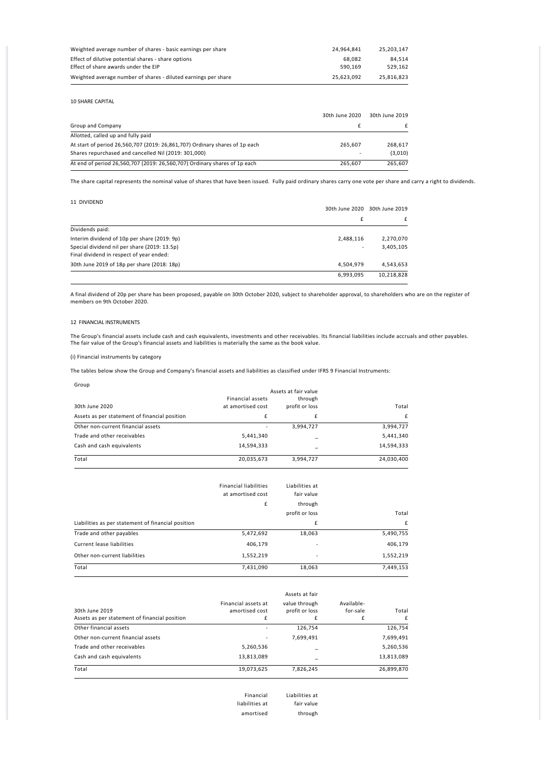| Weighted average number of shares - basic earnings per share   | 24.964.841 | 25.203.147 |
|----------------------------------------------------------------|------------|------------|
| Effect of dilutive potential shares - share options            | 68.082     | 84.514     |
| Effect of share awards under the EIP                           | 590.169    | 529.162    |
| Weighted average number of shares - diluted earnings per share | 25.623.092 | 25.816.823 |

10 SHARE CAPITAL

|                                                                             | 30th June 2020 | 30th June 2019 |
|-----------------------------------------------------------------------------|----------------|----------------|
| Group and Company                                                           |                |                |
| Allotted, called up and fully paid                                          |                |                |
| At start of period 26,560,707 (2019: 26,861,707) Ordinary shares of 1p each | 265.607        | 268.617        |
| Shares repurchased and cancelled Nil (2019: 301,000)                        |                | (3,010)        |
| At end of period 26,560,707 (2019: 26,560,707) Ordinary shares of 1p each   | 265.607        | 265.607        |

The share capital represents the nominal value of shares that have been issued. Fully paid ordinary shares carry one vote per share and carry a right to dividends.

11 DIVIDEND

|                                              | 30th June 2020 30th June 2019 |            |  |
|----------------------------------------------|-------------------------------|------------|--|
|                                              | £                             |            |  |
| Dividends paid:                              |                               |            |  |
| Interim dividend of 10p per share (2019: 9p) | 2,488,116                     | 2,270,070  |  |
| Special dividend nil per share (2019: 13.5p) |                               | 3,405,105  |  |
| Final dividend in respect of year ended:     |                               |            |  |
| 30th June 2019 of 18p per share (2018: 18p)  | 4,504,979                     | 4,543,653  |  |
|                                              | 6,993,095                     | 10,218,828 |  |

A final dividend of 20p per share has been proposed, payable on 30th October 2020, subject to shareholder approval, to shareholders who are on the register of members on 9th October 2020.

### 12 FINANCIAL INSTRUMENTS

The Group's financial assets include cash and cash equivalents, investments and other receivables. Its financial liabilities include accruals and other payables.<br>The fair value of the Group's financial assets and liabiliti

(i) Financial instruments by category

The tables below show the Group and Company's financial assets and liabilities as classified under IFRS 9 Financial Instruments:

| Group                                         |                         |                |            |  |  |
|-----------------------------------------------|-------------------------|----------------|------------|--|--|
|                                               | Assets at fair value    |                |            |  |  |
|                                               | <b>Financial assets</b> | through        |            |  |  |
| 30th June 2020                                | at amortised cost       | profit or loss | Total      |  |  |
| Assets as per statement of financial position | f                       | £              | f          |  |  |
| Other non-current financial assets            |                         | 3,994,727      | 3,994,727  |  |  |
| Trade and other receivables                   | 5,441,340               |                | 5,441,340  |  |  |
| Cash and cash equivalents                     | 14,594,333              |                | 14,594,333 |  |  |
| Total                                         | 20,035,673              | 3,994,727      | 24,030,400 |  |  |

|                                                    | <b>Financial liabilities</b><br>at amortised cost<br>£ | Liabilities at<br>fair value<br>through |           |
|----------------------------------------------------|--------------------------------------------------------|-----------------------------------------|-----------|
|                                                    |                                                        | profit or loss                          | Total     |
|                                                    |                                                        |                                         |           |
| Liabilities as per statement of financial position |                                                        | £                                       | £         |
| Trade and other payables                           | 5,472,692                                              | 18,063                                  | 5,490,755 |
| Current lease liabilities                          | 406,179                                                |                                         | 406,179   |
| Other non-current liabilities                      | 1,552,219                                              |                                         | 1,552,219 |
| Total                                              | 7,431,090                                              | 18,063                                  | 7,449,153 |

| 30th June 2019<br>Assets as per statement of financial position | Financial assets at<br>amortised cost<br>£ | value through<br>profit or loss<br>£ | Available-<br>for-sale<br>f | Total<br>f |
|-----------------------------------------------------------------|--------------------------------------------|--------------------------------------|-----------------------------|------------|
| Other financial assets                                          |                                            | 126,754                              |                             | 126,754    |
| Other non-current financial assets                              | ۰                                          | 7,699,491                            |                             | 7,699,491  |
| Trade and other receivables                                     | 5,260,536                                  |                                      |                             | 5,260,536  |
| Cash and cash equivalents                                       | 13,813,089                                 |                                      |                             | 13,813,089 |
| Total                                                           | 19,073,625                                 | 7,826,245                            |                             | 26,899,870 |

| Liabilities at | Financial      |
|----------------|----------------|
| fair value     | liabilities at |
| through        | amortised      |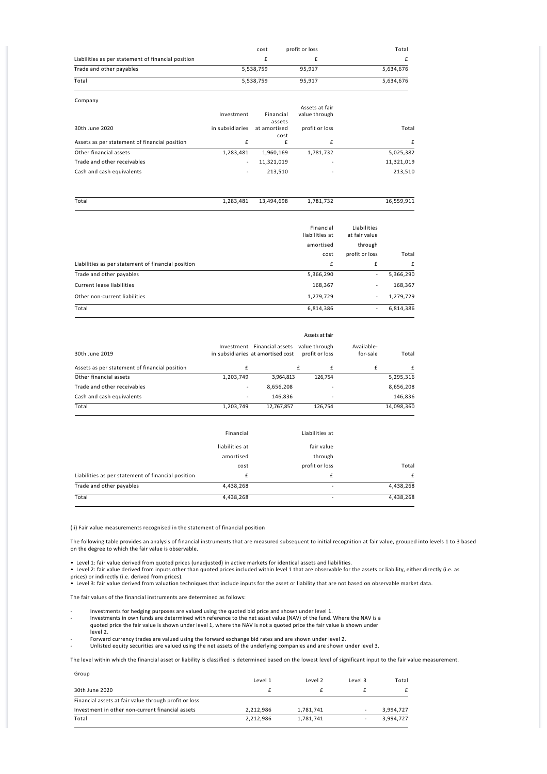|                                                    | cost      | profit or loss | Total     |
|----------------------------------------------------|-----------|----------------|-----------|
| Liabilities as per statement of financial position |           |                |           |
| Trade and other payables                           | 5,538,759 | 95.917         | 5.634.676 |
| Total                                              | 5,538,759 | 95.917         | 5,634,676 |

| Company                                       |                 |                     |                          |            |
|-----------------------------------------------|-----------------|---------------------|--------------------------|------------|
|                                               |                 |                     | Assets at fair           |            |
|                                               | Investment      | Financial<br>assets | value through            |            |
| 30th June 2020                                | in subsidiaries | at amortised        | profit or loss           | Total      |
|                                               |                 | cost                |                          |            |
| Assets as per statement of financial position | f               | £                   | f                        | f          |
| Other financial assets                        | 1,283,481       | 1,960,169           | 1,781,732                | 5,025,382  |
| Trade and other receivables                   | ٠               | 11,321,019          | $\overline{\phantom{a}}$ | 11,321,019 |
| Cash and cash equivalents                     | ۰               | 213,510             | $\overline{\phantom{a}}$ | 213,510    |
|                                               |                 |                     |                          |            |

| Total | 1,283,481 | 13,494,698 | 1,781,732      | 16,559,911    |
|-------|-----------|------------|----------------|---------------|
|       |           |            | Financial      | Liabilities   |
|       |           |            | liabilities at | at fair value |

|                                                    | amortised | through        |           |
|----------------------------------------------------|-----------|----------------|-----------|
|                                                    | cost      | profit or loss | Total     |
| Liabilities as per statement of financial position | £         | £              | f         |
| Trade and other payables                           | 5,366,290 | ٠              | 5,366,290 |
| Current lease liabilities                          | 168,367   | ۰              | 168,367   |
| Other non-current liabilities                      | 1,279,729 | ۰              | 1,279,729 |
| Total                                              | 6,814,386 |                | 6,814,386 |

|                                               |                |                                                                  | Assets at fair                  |                        |            |
|-----------------------------------------------|----------------|------------------------------------------------------------------|---------------------------------|------------------------|------------|
| 30th June 2019                                |                | Investment Financial assets<br>in subsidiaries at amortised cost | value through<br>profit or loss | Available-<br>for-sale | Total      |
| Assets as per statement of financial position | £              |                                                                  | £<br>£                          | £                      | £          |
| Other financial assets                        | 1,203,749      | 3,964,813                                                        | 126,754                         |                        | 5,295,316  |
| Trade and other receivables                   | ٠              | 8,656,208                                                        |                                 |                        | 8,656,208  |
| Cash and cash equivalents                     |                | 146,836                                                          |                                 |                        | 146,836    |
| Total                                         | 1,203,749      | 12,767,857                                                       | 126,754                         |                        | 14,098,360 |
|                                               | Financial      |                                                                  | Liabilities at                  |                        |            |
|                                               | liabilities at |                                                                  | fair value                      |                        |            |
|                                               | amortised      |                                                                  | through                         |                        |            |
|                                               | cost           |                                                                  | profit or loss                  |                        | Total      |

| Liabilities as per statement of financial position |           |           |
|----------------------------------------------------|-----------|-----------|
| Trade and other payables                           | 4.438.268 | 4.438.268 |
| Total                                              | 4.438.268 | 4.438.268 |

(ii) Fair value measurements recognised in the statement of financial position

The following table provides an analysis of financial instruments that are measured subsequent to initial recognition at fair value, grouped into levels 1 to 3 based on the degree to which the fair value is observable.

• Level 1: fair value derived from quoted prices (unadjusted) in active markets for identical assets and liabilities.

• Level 2: fair value derived from inputs other than quoted prices included within level 1 that are observable for the assets or liability, either directly (i.e. as prices) or indirectly (i.e. derived from prices). • Level 3: fair value derived from valuation techniques that include inputs for the asset or liability that are not based on observable market data.

The fair values of the financial instruments are determined as follows:

- ‐ Investments for hedging purposes are valued using the quoted bid price and shown under level 1.
- Investments in own funds are determined with reference to the net asset value (NAV) of the fund. Where the NAV is a<br>quoted price the fair value is shown under level 1, where the NAV is not a quoted price the fair value is
- level 2.
- ‐ Forward currency trades are valued using the forward exchange bid rates and are shown under level 2. ‐ Unlisted equity securities are valued using the net assets of the underlying companies and are shown under level 3.

The level within which the financial asset or liability is classified is determined based on the lowest level of significant input to the fair value measurement.

| Group<br>30th June 2020                          |           | Level 2   | Level 3 | Total<br>£ |
|--------------------------------------------------|-----------|-----------|---------|------------|
|                                                  | Level 1   |           |         |            |
|                                                  |           |           |         |            |
| Investment in other non-current financial assets | 2.212.986 | 1,781,741 |         | 3.994.727  |
| Total                                            | 2,212,986 | 1,781,741 |         | 3.994.727  |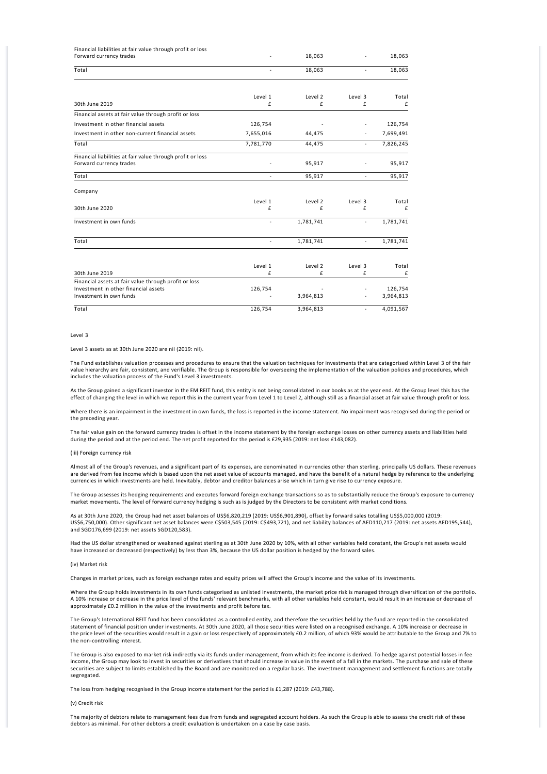| Financial liabilities at fair value through profit or loss                            |                          |              |              |            |
|---------------------------------------------------------------------------------------|--------------------------|--------------|--------------|------------|
| Forward currency trades                                                               |                          | 18,063       |              | 18,063     |
| Total                                                                                 |                          | 18,063       |              | 18,063     |
|                                                                                       | Level 1                  | Level 2      | Level 3      | Total      |
| 30th June 2019                                                                        | £                        | £            | £            | £          |
| Financial assets at fair value through profit or loss                                 |                          |              |              |            |
| Investment in other financial assets                                                  | 126,754                  |              |              | 126,754    |
| Investment in other non-current financial assets                                      | 7,655,016                | 44,475       |              | 7,699,491  |
| Total                                                                                 | 7,781,770                | 44,475       | $\bar{a}$    | 7,826,245  |
| Financial liabilities at fair value through profit or loss<br>Forward currency trades |                          | 95,917       |              | 95,917     |
| Total                                                                                 |                          | 95,917       |              | 95,917     |
| Company                                                                               |                          |              |              |            |
| 30th June 2020                                                                        | Level 1<br>£             | Level 2<br>£ | Level 3<br>£ | Total<br>£ |
| Investment in own funds                                                               | $\overline{\phantom{a}}$ | 1,781,741    | $\sim$       | 1,781,741  |
| Total                                                                                 | $\blacksquare$           | 1,781,741    | $\bar{a}$    | 1,781,741  |
| 30th June 2019                                                                        | Level 1<br>£             | Level 2<br>£ | Level 3<br>£ | Total<br>£ |
| Financial assets at fair value through profit or loss                                 |                          |              |              |            |
| Investment in other financial assets                                                  | 126,754                  |              |              | 126,754    |
| Investment in own funds                                                               |                          | 3,964,813    |              | 3,964,813  |
| Total                                                                                 | 126,754                  | 3,964,813    | $\bar{a}$    | 4,091,567  |

### Level 3

### Level 3 assets as at 30th June 2020 are nil (2019: nil).

The Fund establishes valuation processes and procedures to ensure that the valuation techniques for investments that are categorised within Level 3 of the fair value hierarchy are fair, consistent, and verifiable. The Group is responsible for overseeing the implementation of the valuation policies and procedures, which includes the valuation process of the Fund's Level 3 investments.

As the Group gained a significant investor in the EM REIT fund, this entity is not being consolidated in our books as at the year end. At the Group level this has the effect of changing the level in which we report this in the current year from Level 1 to Level 2, although still as a financial asset at fair value through profit or loss.

Where there is an impairment in the investment in own funds, the loss is reported in the income statement. No impairment was recognised during the period or the preceding year.

The fair value gain on the forward currency trades is offset in the income statement by the foreign exchange losses on other currency assets and liabilities held during the period and at the period end. The net profit reported for the period is £29,935 (2019: net loss £143,082).

#### (iii) Foreign currency risk

Almost all of the Group's revenues, and a significant part of its expenses, are denominated in currencies other than sterling, principally US dollars. These revenues are derived from fee income which is based upon the net asset value of accounts managed, and have the benefit of a natural hedge by reference to the underlying currencies in which investments are held. Inevitably, debtor and creditor balances arise which in turn give rise to currency exposure.

The Group assesses its hedging requirements and executes forward foreign exchange transactions so as to substantially reduce the Group's exposure to currency market movements. The level of forward currency hedging is such as is judged by the Directors to be consistent with market conditions.

As at 30th June 2020, the Group had net asset balances of US\$6,820,219 (2019: US\$6,901,890), offset by forward sales totalling US\$5,000,000 (2019: US\$6,750,000). Other significant net asset balances were C\$503,545 (2019: C\$493,721), and net liability balances of AED110,217 (2019: net assets AED195,544), and SGD176,699 (2019: net assets SGD120,583).

Had the US dollar strengthened or weakened against sterling as at 30th June 2020 by 10%, with all other variables held constant, the Group's net assets would<br>have increased or decreased (respectively) by less than 3%, beca

#### (iv) Market risk

Changes in market prices, such as foreign exchange rates and equity prices will affect the Group's income and the value of its investments.

Where the Group holds investments in its own funds categorised as unlisted investments, the market price risk is managed through diversification of the portfolio. A 10% increase or decrease in the price level of the funds' relevant benchmarks, with all other variables held constant, would result in an increase or decrease of approximately £0.2 million in the value of the investments and profit before tax.

The Group's International REIT fund has been consolidated as a controlled entity, and therefore the securities held by the fund are reported in the consolidated statement of financial position under investments. At 30th June 2020, all those securities were listed on a recognised exchange. A 10% increase or decrease in the price level of the securities would result in a gain or loss respectively of approximately £0.2 million, of which 93% would be attributable to the Group and 7% to the non‐controlling interest.

The Group is also exposed to market risk indirectly via its funds under management, from which its fee income is derived. To hedge against potential losses in fee income, the Group may look to invest in securities or derivatives that should increase in value in the event of a fall in the markets. The purchase and sale of these securities are subject to limits established by the Board and are monitored on a regular basis. The investment management and settlement functions are totally segregated.

The loss from hedging recognised in the Group income statement for the period is £1,287 (2019: £43,788).

#### (v) Credit risk

The majority of debtors relate to management fees due from funds and segregated account holders. As such the Group is able to assess the credit risk of these debtors as minimal. For other debtors a credit evaluation is undertaken on a case by case basis.